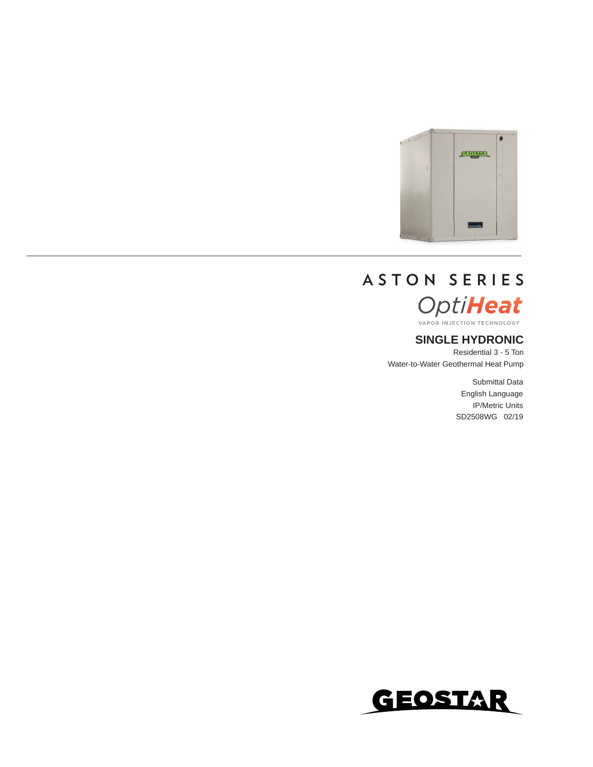

# **ASTON SERIES** OptiHeat

### **SINGLE HYDRONIC**

Residential 3 - 5 Ton Water-to-Water Geothermal Heat Pump

> Submittal Data English Language IP/Metric Units SD2508WG 02/19

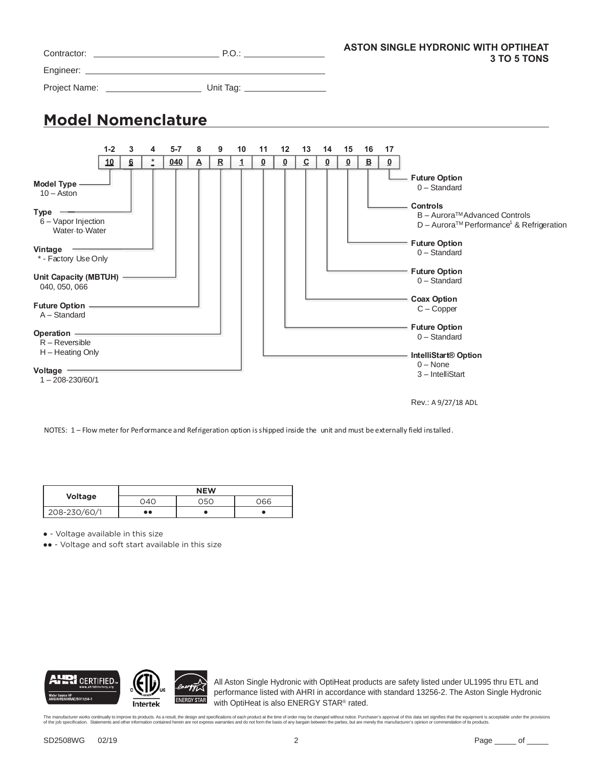|                                                                                                                                                                                                                                                                                                                                                                                                                                                           |                                                                                                                                                                                                                  | <b>ASTON SINGLE HYDRONIC WITH OPTIHEAT</b><br>3 TO 5 TONS                                                                                                                                                                                                                                   |
|-----------------------------------------------------------------------------------------------------------------------------------------------------------------------------------------------------------------------------------------------------------------------------------------------------------------------------------------------------------------------------------------------------------------------------------------------------------|------------------------------------------------------------------------------------------------------------------------------------------------------------------------------------------------------------------|---------------------------------------------------------------------------------------------------------------------------------------------------------------------------------------------------------------------------------------------------------------------------------------------|
|                                                                                                                                                                                                                                                                                                                                                                                                                                                           |                                                                                                                                                                                                                  |                                                                                                                                                                                                                                                                                             |
|                                                                                                                                                                                                                                                                                                                                                                                                                                                           |                                                                                                                                                                                                                  |                                                                                                                                                                                                                                                                                             |
| <b>Model Nomenclature</b>                                                                                                                                                                                                                                                                                                                                                                                                                                 |                                                                                                                                                                                                                  |                                                                                                                                                                                                                                                                                             |
| $1 - 2$<br>3<br>4<br>$5 - 7$<br>$\overline{a}$<br>10<br>$6 \overline{6}$<br>040                                                                                                                                                                                                                                                                                                                                                                           | 8<br>9<br>10<br>$12 \overline{ }$<br>13<br>14<br>11<br>$\mathbf R$<br>$\overline{c}$<br>$\overline{\mathbf{0}}$<br>$\overline{\mathbf{0}}$<br>$\overline{\mathbf{0}}$<br>$\overline{\mathsf{A}}$<br>$\mathbf{1}$ | 15<br>17<br>16<br>$\overline{\mathbf{0}}$<br>$\overline{\mathbf{0}}$<br>$\overline{\mathbf{B}}$                                                                                                                                                                                             |
| Model Type -<br>$10 -$ Aston<br>Type <u>- Type</u><br>$6 -$ Vapor Injection<br>Water-to-Water<br>Vintage -<br>* - Factory Use Only<br>Unit Capacity (MBTUH) -<br>040, 050, 066<br>A - Standard<br>Operation <u>- Discovery</u> Contract to the Contract of the Contract of the Contract of the Contract of the Contract of the Contract of the Contract of the Contract of the Contract of the Contract of the Contract of the Contra<br>$R -$ Reversible |                                                                                                                                                                                                                  | - Future Option<br>$0 -$ Standard<br>Controls<br>B - Aurora™Advanced Controls<br>D - Aurora™ Performance <sup>1</sup> & Refrigeration<br>- Future Option<br>$0 -$ Standard<br>- Future Option<br>$0 -$ Standard<br><b>Coax Option</b><br>$C - C$ opper<br>- Future Option<br>$0 -$ Standard |
| H - Heating Only<br>Voltage <u>- and the set of the set of the set of the set of the set of the set of the set of the set of the set of the set of the set of the set of the set of the set of the set of the set of the set of the set of the set o</u><br>$1 - 208 - 230/60/1$                                                                                                                                                                          |                                                                                                                                                                                                                  | IntelliStart® Option<br>$0 - None$<br>3-IntelliStart<br>Rev.: A 9/27/18 ADL                                                                                                                                                                                                                 |

NOTES: 1 – Flow meter for Performance and Refrigeration option is shipped inside the unit and must be externally field installed.

|                |     | <b>NEW</b> |     |
|----------------|-----|------------|-----|
| <b>Voltage</b> | 04C | 05C        | 066 |
| 208-230/60/1   | . . |            |     |

**●** - Voltage available in this size

**●●** - Voltage and soft start available in this size



All Aston Single Hydronic with OptiHeat products are safety listed under UL1995 thru ETL and performance listed with AHRI in accordance with standard 13256-2. The Aston Single Hydronic with OptiHeat is also ENERGY STAR® rated.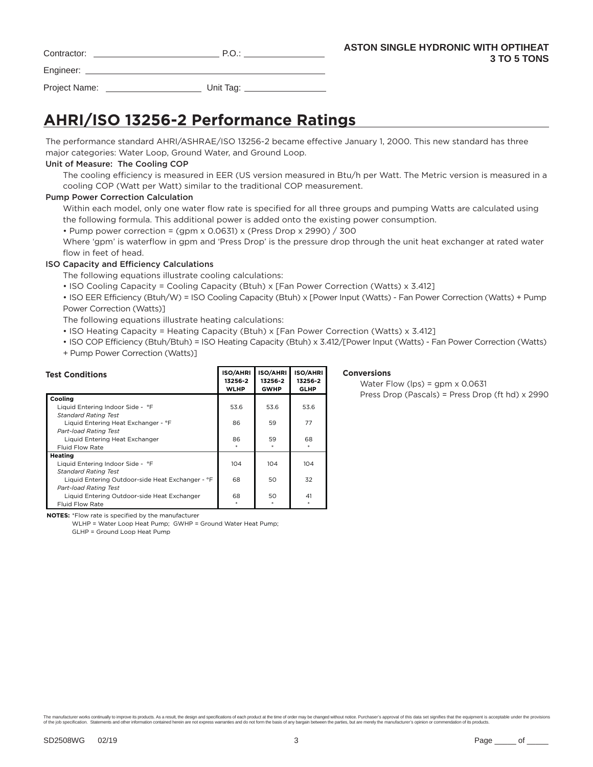| Contractor: | - |
|-------------|---|
|             |   |

Engineer: \_

Project Name: \_\_\_\_\_\_\_\_\_\_\_\_\_\_\_\_\_\_\_\_\_\_\_\_\_\_\_\_\_\_\_\_ Unit Tag: \_

# **AHRI/ISO 13256-2 Performance Ratings**

The performance standard AHRI/ASHRAE/ISO 13256-2 became effective January 1, 2000. This new standard has three major categories: Water Loop, Ground Water, and Ground Loop.

#### Unit of Measure: The Cooling COP

The cooling efficiency is measured in EER (US version measured in Btu/h per Watt. The Metric version is measured in a cooling COP (Watt per Watt) similar to the traditional COP measurement.

#### Pump Power Correction Calculation

Within each model, only one water flow rate is specified for all three groups and pumping Watts are calculated using the following formula. This additional power is added onto the existing power consumption.

• Pump power correction = (gpm x 0.0631) x (Press Drop x 2990) / 300

Where 'gpm' is waterflow in gpm and 'Press Drop' is the pressure drop through the unit heat exchanger at rated water flow in feet of head.

### ISO Capacity and Efficiency Calculations

The following equations illustrate cooling calculations:

• ISO Cooling Capacity = Cooling Capacity (Btuh) x [Fan Power Correction (Watts) x 3.412]

• ISO EER Efficiency (Btuh/W) = ISO Cooling Capacity (Btuh) x [Power Input (Watts) - Fan Power Correction (Watts) + Pump Power Correction (Watts)]

The following equations illustrate heating calculations:

- ISO Heating Capacity = Heating Capacity (Btuh) x [Fan Power Correction (Watts) x 3.412]
- ISO COP Efficiency (Btuh/Btuh) = ISO Heating Capacity (Btuh) x 3.412/[Power Input (Watts) Fan Power Correction (Watts) + Pump Power Correction (Watts)]

| <b>Test Conditions</b>                           | <b>ISO/AHRI</b><br>13256-2<br><b>WLHP</b> | <b>ISO/AHRI</b><br>13256-2<br><b>GWHP</b> | <b>ISO/AHRI</b><br>13256-2<br><b>GLHP</b> |
|--------------------------------------------------|-------------------------------------------|-------------------------------------------|-------------------------------------------|
| Cooling                                          |                                           |                                           |                                           |
| Liquid Entering Indoor Side - °F                 | 53.6                                      | 53.6                                      | 53.6                                      |
| <b>Standard Rating Test</b>                      |                                           |                                           |                                           |
| Liquid Entering Heat Exchanger - °F              | 86                                        | 59                                        | 77                                        |
| <b>Part-load Rating Test</b>                     |                                           |                                           |                                           |
| Liquid Entering Heat Exchanger                   | 86                                        | 59                                        | 68                                        |
| <b>Fluid Flow Rate</b>                           |                                           |                                           |                                           |
| Heating                                          |                                           |                                           |                                           |
| Liquid Entering Indoor Side - °F                 | 104                                       | 104                                       | 104                                       |
| <b>Standard Rating Test</b>                      |                                           |                                           |                                           |
| Liquid Entering Outdoor-side Heat Exchanger - °F | 68                                        | 50                                        | 32                                        |
| <b>Part-load Rating Test</b>                     |                                           |                                           |                                           |
| Liquid Entering Outdoor-side Heat Exchanger      | 68                                        | 50                                        | 41                                        |
| <b>Fluid Flow Rate</b>                           |                                           |                                           |                                           |

#### **Conversions**

 Water Flow (lps) = gpm x 0.0631 Press Drop (Pascals) = Press Drop (ft hd) x 2990

**NOTES:** \*Flow rate is specified by the manufacturer

WLHP = Water Loop Heat Pump; GWHP = Ground Water Heat Pump; GLHP = Ground Loop Heat Pump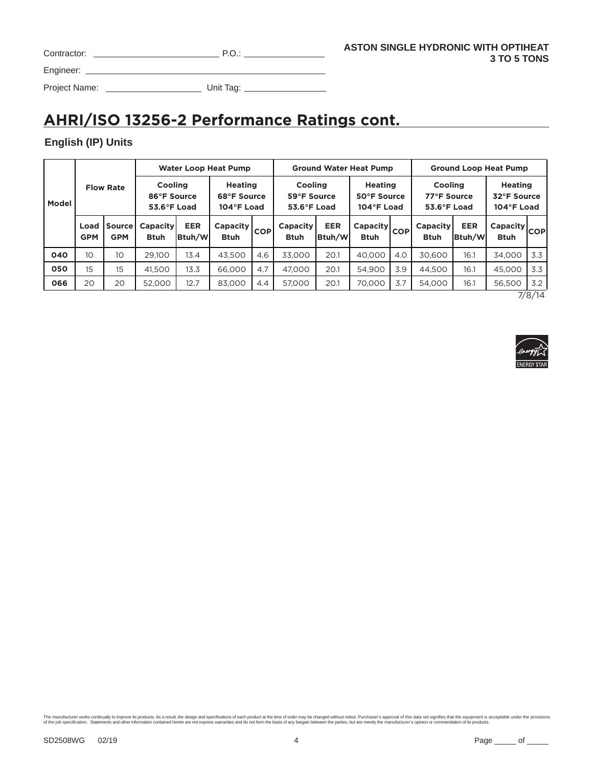| Contractor: |  |
|-------------|--|
| Engineer:   |  |

Project Name: Unit Tag:

# **AHRI/ISO 13256-2 Performance Ratings cont.**

### **English (IP) Units**

|       |                    |                             |                                              |                      | <b>Water Loop Heat Pump</b>                 |            |                                                 |                      | <b>Ground Water Heat Pump</b>               |     | <b>Ground Loop Heat Pump</b>                 |                      |                                             |                  |  |  |
|-------|--------------------|-----------------------------|----------------------------------------------|----------------------|---------------------------------------------|------------|-------------------------------------------------|----------------------|---------------------------------------------|-----|----------------------------------------------|----------------------|---------------------------------------------|------------------|--|--|
| Model |                    | <b>Flow Rate</b>            | <b>Cooling</b><br>86°F Source<br>53.6°F Load |                      | <b>Heating</b><br>68°F Source<br>104°F Load |            | Cooling<br>59°F Source<br>$53.6^{\circ}$ F Load |                      | <b>Heating</b><br>50°F Source<br>104°F Load |     | <b>Cooling</b><br>77°F Source<br>53.6°F Load |                      | <b>Heating</b><br>32°F Source<br>104°F Load |                  |  |  |
|       | Load<br><b>GPM</b> | <b>Source</b><br><b>GPM</b> | <b>Capacity</b><br><b>Btuh</b>               | <b>EER</b><br>Btuh/W | Capacity<br><b>Btuh</b>                     | <b>COP</b> | Capacity<br><b>Btuh</b>                         | <b>EER</b><br>Btuh/W | Capacity COPI<br><b>Btuh</b>                |     | <b>Capacity</b><br><b>Btuh</b>               | <b>EER</b><br>Btuh/W | Capacity<br><b>Btuh</b>                     | <b>COP</b>       |  |  |
| 040   | 10                 | 10                          | 29,100                                       | 13.4                 | 43,500                                      | 4.6        | 33,000                                          | 20.1                 | 40.000                                      | 4.0 | 30.600                                       | 16.1                 | 34.000                                      | 3.3              |  |  |
| 050   | 15                 | 15                          | 41.500                                       | 13.3                 | 66,000                                      | 4.7        | 47.000                                          | 20.1                 | 54.900                                      | 3.9 | 44.500                                       | 16.1                 | 45,000                                      | 3.3              |  |  |
| 066   | 20                 | 20                          | 52,000                                       | 12.7                 | 83,000                                      | 4.4        |                                                 | 20.1                 | 70.000                                      | 3.7 | 54.000                                       | 16.1                 | 56,500                                      | 3.2<br>$-1$ $-1$ |  |  |

7/8/14

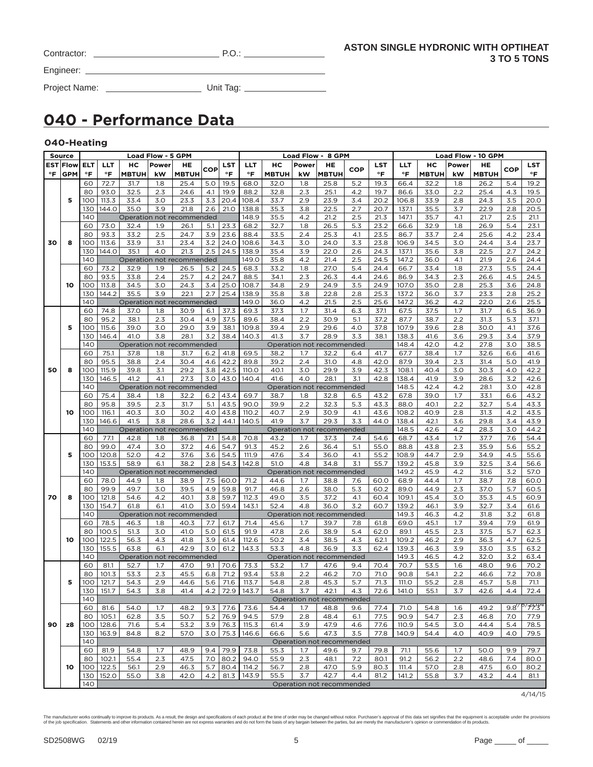| Contractor:   | P.O.      |  |
|---------------|-----------|--|
| Engineer:     |           |  |
| Project Name: | Unit Tag: |  |

# **040 - Performance Data**

### **040-Heating**

|    | Source          |     |               |              | <b>Load Flow - 5 GPM</b> |                           |     |            |                           |              |       | Load Flow - 8 GPM         |     |            |               |              |       | <b>Load Flow - 10 GPM</b> |     |                                       |
|----|-----------------|-----|---------------|--------------|--------------------------|---------------------------|-----|------------|---------------------------|--------------|-------|---------------------------|-----|------------|---------------|--------------|-------|---------------------------|-----|---------------------------------------|
|    | <b>EST Flow</b> | ELT | LLT           | нc           | Power                    | HE                        |     | <b>LST</b> | <b>LLT</b>                | нc           | Power | HE                        |     | <b>LST</b> | LLT           | нс           | Power | HE                        |     | LST                                   |
| °F | <b>GPM</b>      | °F  | °F            | <b>MBTUH</b> | kW                       | <b>MBTUH</b>              | COP | °F         | °F                        | <b>MBTUH</b> | kW    | <b>MBTUH</b>              | COP | °F         | °F            | <b>MBTUH</b> | kW    | <b>MBTUH</b>              | COP | °F                                    |
|    |                 | 60  | 72.7          | 31.7         | 1.8                      | 25.4                      | 5.0 | 19.5       | 68.0                      | 32.0         | 1.8   | 25.8                      | 5.2 | 19.3       | 66.4          | 32.2         | 1.8   | 26.2                      | 5.4 | 19.2                                  |
|    |                 | 80  | 93.0          | 32.5         | 2.3                      | 24.6                      | 4.1 | 19.9       | 88.2                      | 32.8         | 2.3   | 25.1                      | 4.2 | 19.7       | 86.6          | 33.0         | 2.2   | 25.4                      | 4.3 | 19.5                                  |
|    |                 |     |               |              |                          |                           |     |            |                           |              |       |                           |     |            |               |              |       |                           |     |                                       |
|    | 5               | 100 | 113.3         | 33.4         | 3.0                      | 23.3                      | 3.3 | 20.4       | 108.4                     | 33.7         | 2.9   | 23.9                      | 3.4 | 20.2       | 106.8         | 33.9         | 2.8   | 24.3                      | 3.5 | 20.0                                  |
|    |                 | 130 | 144.0         | 35.0         | 3.9                      | 21.8                      | 2.6 | 21.0       | 138.8                     | 35.3         | 3.8   | 22.5                      | 2.7 | 20.7       | 137.1         | 35.5         | 3.7   | 22.9                      | 2.8 | 20.5                                  |
|    |                 | 140 |               |              |                          | Operation not recommended |     |            | 148.9                     | 35.5         | 4.2   | 21.2                      | 2.5 | 21.3       | 147.1         | 35.7         | 4.1   | 21.7                      | 2.5 | 21.1                                  |
|    |                 | 60  | 73.0          | 32.4         | 1.9                      | 26.1                      | 5.1 | 23.3       | 68.2                      | 32.7         | 1.8   | 26.5                      | 5.3 | 23.2       | 66.6          | 32.9         | 1.8   | 26.9                      | 5.4 | 23.1                                  |
|    |                 | 80  | 93.3          | 33.2         | 2.5                      | 24.7                      | 3.9 | 23.6       | 88.4                      | 33.5         | 2.4   | 25.3                      | 4.1 | 23.5       | 86.7          | 33.7         | 2.4   | 25.6                      | 4.2 | 23.4                                  |
| 30 | 8               | 100 | 113.6         | 33.9         | 3.1                      | 23.4                      | 3.2 | 24.0       | 108.6                     | 34.3         | 3.0   | 24.0                      | 3.3 | 23.8       | 106.9         | 34.5         | 3.0   | 24.4                      | 3.4 | 23.7                                  |
|    |                 | 130 | 144.0         | 35.1         | 4.0                      | 21.3                      | 2.5 | 24.5       | 138.9                     | 35.4         | 3.9   | 22.0                      | 2.6 | 24.3       | 137.1         | 35.6         | 3.8   | 22.5                      | 2.7 | 24.2                                  |
|    |                 | 140 |               |              |                          | Operation not recommended |     |            | 149.0                     | 35.8         | 4.2   | 21.4                      | 2.5 | 24.5       | 147.2         | 36.0         | 4.1   | 21.9                      | 2.6 | 24.4                                  |
|    |                 | 60  | 73.2          | 32.9         | 1.9                      | 26.5                      | 5.2 | 24.5       | 68.3                      | 33.2         | 1.8   | 27.0                      | 5.4 | 24.4       | 66.7          | 33.4         | 1.8   | 27.3                      | 5.5 | 24.4                                  |
|    |                 | 80  | 93.5          | 33.8         | 2.4                      | 25.7                      | 4.2 | 24.7       | 88.5                      | 34.1         | 2.3   | 26.3                      | 4.4 | 24.6       | 86.9          | 34.3         | 2.3   | 26.6                      | 4.5 | 24.5                                  |
|    | 10              | 100 | 113.8         | 34.5         | 3.0                      | 24.3                      | 3.4 | 25.0       | 108.7                     | 34.8         | 2.9   | 24.9                      | 3.5 | 24.9       | 107.0         | 35.0         | 2.8   | 25.3                      | 3.6 | 24.8                                  |
|    |                 | 130 | 144.2         | 35.5         | 3.9                      | 22.1                      | 2.7 | 25.4       | 138.9                     | 35.8         | 3.8   | 22.8                      | 2.8 | 25.3       | 137.2         | 36.0         | 3.7   | 23.3                      | 2.8 | 25.2                                  |
|    |                 | 140 |               |              |                          | Operation not recommended |     |            | 149.0                     | 36.0         | 4.2   | 21.5                      | 2.5 | 25.6       | 147.2         | 36.2         | 4.2   | 22.0                      | 2.6 | 25.5                                  |
|    |                 | 60  | 74.8          | 37.0         | 1.8                      | 30.9                      | 6.1 | 37.3       | 69.3                      | 37.3         | 1.7   | 31.4                      | 6.3 | 37.1       | 67.5          | 37.5         | 1.7   | 31.7                      | 6.5 | 36.9                                  |
|    |                 | 80  | 95.2          | 38.1         | 2.3                      | 30.4                      | 4.9 | 37.5       | 89.6                      | 38.4         | 2.2   | 30.9                      | 5.1 | 37.2       | 87.7          | 38.7         | 2.2   | 31.3                      | 5.3 | 37.1                                  |
|    | 5               | 100 | 115.6         | 39.0         | 3.0                      | 29.0                      | 3.9 | 38.1       | 109.8                     | 39.4         | 2.9   | 29.6                      | 4.0 | 37.8       | 107.9         | 39.6         | 2.8   | 30.0                      | 4.1 | 37.6                                  |
|    |                 |     |               |              |                          |                           |     |            |                           |              |       |                           |     |            |               |              |       |                           |     |                                       |
|    |                 | 130 | 146.4         | 41.O         | 3.8                      | 28.1                      | 3.2 | 38.4       | 140.3                     | 41.3         | 3.7   | 28.9                      | 3.3 | 38.1       | 138.3         | 41.6         | 3.6   | 29.3                      | 3.4 | 37.9                                  |
|    |                 | 140 |               |              |                          | Operation not recommended |     |            |                           |              |       | Operation not recommended |     |            | 148.4         | 42.0         | 4.2   | 27.8                      | 3.0 | 38.5                                  |
|    |                 | 60  | 75.1          | 37.8         | 1.8                      | 31.7                      | 6.2 | 41.8       | 69.5                      | 38.2         | 1.7   | 32.2                      | 6.4 | 41.7       | 67.7          | 38.4         | 1.7   | 32.6                      | 6.6 | 41.6                                  |
|    |                 | 80  | 95.5          | 38.8         | 2.4                      | 30.4                      | 4.6 | 42.2       | 89.8                      | 39.2         | 2.4   | 31.0                      | 4.8 | 42.0       | 87.9          | 39.4         | 2.3   | 31.4                      | 5.0 | 41.9                                  |
| 50 | 8               | 100 | 115.9         | 39.8         | 3.1                      | 29.2                      | 3.8 | 42.5       | 110.0                     | 40.1         | 3.0   | 29.9                      | 3.9 | 42.3       | 108.1         | 40.4         | 3.0   | 30.3                      | 4.O | 42.2                                  |
|    |                 | 130 | 146.5         | 41.2         | 4.1                      | 27.3                      | 3.0 | 43.0       | 140.4                     | 41.6         | 4.0   | 28.1                      | 3.1 | 42.8       | 138.4         | 41.9         | 3.9   | 28.6                      | 3.2 | 42.6                                  |
|    |                 | 140 |               |              |                          | Operation not recommended |     |            |                           |              |       | Operation not recommended |     |            | 148.5         | 42.4         | 4.2   | 28.1                      | 3.0 | 42.8                                  |
|    |                 | 60  | 75.4          | 38.4         | 1.8                      | 32.2                      | 6.2 | 43.4       | 69.7                      | 38.7         | 1.8   | 32.8                      | 6.5 | 43.2       | 67.8          | 39.0         | 1.7   | 33.1                      | 6.6 | 43.2                                  |
|    |                 | 80  | 95.8          | 39.5         | 2.3                      | 31.7                      | 5.1 | 43.5       | 90.0                      | 39.9         | 2.2   | 32.3                      | 5.3 | 43.3       | 88.0          | 40.1         | 2.2   | 32.7                      | 5.4 | 43.3                                  |
|    | 10              | 100 | 116.1         | 40.3         | 3.0                      | 30.2                      | 4.0 | 43.8       | 110.2                     | 40.7         | 2.9   | 30.9                      | 4.1 | 43.6       | 108.2         | 40.9         | 2.8   | 31.3                      | 4.2 | 43.5                                  |
|    |                 | 130 | 146.6         | 41.5         | 3.8                      | 28.6                      | 3.2 | 44.1       | 140.5                     | 41.9         | 3.7   | 29.3                      | 3.3 | 44.0       | 138.4         | 42.1         | 3.6   | 29.8                      | 3.4 | 43.9                                  |
|    |                 | 140 |               |              |                          | Operation not recommended |     |            |                           |              |       | Operation not recommended |     |            | 148.5         | 42.6         | 4.2   | 28.3                      | 3.0 | 44.2                                  |
|    |                 | 60  | 77.1          | 42.8         | 1.8                      | 36.8                      | 7.1 | 54.8       | 70.8                      | 43.2         | 1.7   | 37.3                      | 7.4 | 54.6       | 68.7          | 43.4         | 1.7   | 37.7                      | 7.6 | 54.4                                  |
|    |                 | 80  | 99.0          | 47.4         | 3.0                      | 37.2                      | 4.6 | 54.7       | 91.3                      | 45.2         | 2.6   | 36.4                      | 5.1 | 55.0       | 88.8          | 43.8         | 2.3   | 35.9                      | 5.6 | 55.2                                  |
|    | 5               | 100 | 120.8         | 52.0         | 4.2                      | 37.6                      | 3.6 | 54.5       | 111.9                     | 47.6         | 3.4   | 36.0                      | 4.1 | 55.2       | 108.9         | 44.7         | 2.9   | 34.9                      | 4.5 | 55.6                                  |
|    |                 | 130 | 153.5         | 58.9         | 6.1                      | 38.2                      | 2.8 | 54.3       | 142.8                     | 51.0         | 4.8   | 34.8                      | 3.1 | 55.7       | 139.2         | 45.8         | 3.9   | 32.5                      | 3.4 | 56.6                                  |
|    |                 | 140 |               |              |                          | Operation not recommended |     |            | Operation not recommended |              |       |                           |     |            |               | 45.9         | 4.2   | 31.6                      | 3.2 | 57.0                                  |
|    |                 | 60  | 78.0          | 44.9         | 1.8                      | 38.9                      | 7.5 | 60.0       | 71.2                      | 44.6         | 1.7   | 38.8                      | 7.6 | 60.0       | 149.2<br>68.9 | 44.4         | 1.7   | 38.7                      | 7.8 | 60.0                                  |
|    |                 | 80  | 99.9          | 49.7         | 3.0                      | 39.5                      | 4.9 | 59.8       | 91.7                      | 46.8         | 2.6   | 38.0                      | 5.3 | 60.2       | 89.0          | 44.9         | 2.3   | 37.0                      | 5.7 | 60.5                                  |
| 70 | 8               | 100 | 121.8         | 54.6         | 4.2                      | 40.1                      | 3.8 | 59.7       | 112.3                     | 49.0         | 3.5   | 37.2                      | 4.1 | 60.4       | 109.1         | 45.4         | 3.0   | 35.3                      | 4.5 | 60.9                                  |
|    |                 | 130 | 154.7         | 61.8         | 6.1                      | 41.O                      | 3.0 | 59.4       | 143.1                     | 52.4         | 4.8   | 36.0                      | 3.2 | 60.7       | 139.2         | 46.1         | 3.9   | 32.7                      | 3.4 | 61.6                                  |
|    |                 | 140 |               |              |                          |                           |     |            |                           |              |       | Operation not recommended |     |            | 149.3         | 46.3         | 4.2   |                           | 3.2 | 61.8                                  |
|    |                 |     |               |              |                          | Operation not recommended |     |            |                           |              |       |                           |     |            |               |              |       | 31.8                      |     |                                       |
|    |                 | 60  | 78.5<br>100.5 | 46.3         | 1.8                      | 40.3                      | 7.7 | 61.7       | 71.4                      | 45.6         | 1.7   | 39.7                      | 7.8 | 61.8       | 69.0          | 45.1         | 1.7   | 39.4                      | 7.9 | 61.9                                  |
|    |                 | 80  |               | 51.3         | 3.0                      | 41.0                      | 5.0 | 61.5       | 91.9                      | 47.8         | 2.6   | 38.9                      | 5.4 | 62.0       | 89.1          | 45.5         | 2.3   | 37.5                      | 5.7 | 62.3                                  |
|    | 10              | 100 | 122.5         | 56.3         | 4.3                      | 41.8                      | 3.9 | 61.4       | 112.6                     | 50.2         | 3.4   | 38.5                      | 4.3 | 62.1       | 109.2         | 46.2         | 2.9   | 36.3                      | 4.7 | 62.5                                  |
|    |                 | 130 | 155.5         | 63.8         | 6.1                      | 42.9                      | 3.0 | 61.2       | 143.3                     | 53.3         | 4.8   | 36.9                      | 3.3 | 62.4       | 139.3         | 46.3         | 3.9   | 33.0                      | 3.5 | 63.2                                  |
|    |                 | 140 |               |              |                          | Operation not recommended |     |            |                           |              |       | Operation not recommended |     |            | 149.3         | 46.5         | 4.2   | 32.0                      | 3.2 | 63.4                                  |
|    |                 | 60  | 81.1          | 52.7         | 1.7                      | 47.0                      | 9.1 | 70.6       | 73.3                      | 53.2         | 1.7   | 47.6                      | 9.4 | 70.4       | 70.7          | 53.5         | 1.6   | 48.0                      | 9.6 | 70.2                                  |
|    |                 | 80  | 101.3         | 53.3         | 2.3                      | 45.5                      | 6.8 | 71.2       | 93.4                      | 53.8         | 2.2   | 46.2                      | 7.0 | 71.0       | 90.8          | 54.1         | 2.2   | 46.6                      | 7.2 | 70.8                                  |
|    | 5               | 100 | 121.7         | 54.3         | 2.9                      | 44.6                      | 5.6 | 71.6       | 113.7                     | 54.8         | 2.8   | 45.3                      | 5.7 | 71.3       | 111.O         | 55.2         | 2.8   | 45.7                      | 5.8 | 71.1                                  |
|    |                 | 130 | 151.7         | 54.3         | 3.8                      | 41.4                      |     |            | 4.2   72.9   143.7        | 54.8         | 3.7   | 42.1                      | 4.3 |            | 72.6 141.0    | 55.1         | 3.7   | 42.6                      | 4.4 | 72.4                                  |
|    |                 | 140 |               |              |                          |                           |     |            |                           |              |       | Operation not recommended |     |            |               |              |       |                           |     |                                       |
|    |                 | 60  | 81.6          | 54.0         | 1.7                      | 48.2                      | 9.3 | 77.6       | 73.6                      | 54.4         | 1.7   | 48.8                      | 9.6 | 77.4       | 71.0          | 54.8         | 1.6   | 49.2                      |     | 9.8 <sup>//6/</sup> 77.3 <sup>4</sup> |
|    |                 | 80  | 105.1         | 62.8         | 3.5                      | 50.7                      |     | $5.2$ 76.9 | 94.5                      | 57.9         | 2.8   | 48.4                      | 6.1 | 77.5       | 90.9          | 54.7         | 2.3   | 46.8                      | 7.0 | 77.9                                  |
| 90 | z8              | 100 | 128.6         | 71.6         | 5.4                      | 53.2                      |     | $3.9$ 76.3 | 115.3                     | 61.4         | 3.9   | 47.9                      | 4.6 | 77.6       | 110.9         | 54.5         | 3.0   | 44.4                      | 5.4 | 78.5                                  |
|    |                 | 130 | 163.9         | 84.8         | 8.2                      | 57.0                      | 3.0 | 75.3       | 146.6                     | 66.6         | 5.6   | 47.3                      | 3.5 | 77.8       | 140.9         | 54.4         | 4.0   | 40.9                      | 4.0 | 79.5                                  |
|    |                 | 140 |               |              |                          |                           |     |            |                           |              |       | Operation not recommended |     |            |               |              |       |                           |     |                                       |
|    |                 | 60  | 81.9          | 54.8         | 1.7                      | 48.9                      | 9.4 | 79.9       | 73.8                      | 55.3         | 1.7   | 49.6                      | 9.7 | 79.8       | 71.1          | 55.6         | 1.7   | 50.0                      | 9.9 | 79.7                                  |
|    |                 | 80  | 102.1         | 55.4         | 2.3                      | 47.5                      | 7.0 | 80.2       | 94.0                      | 55.9         | 2.3   | 48.1                      | 7.2 | 80.1       | 91.2          | 56.2         | 2.2   | 48.6                      | 7.4 | 80.0                                  |
|    | 10              | 100 | 122.5         | 56.1         | 2.9                      | 46.3                      | 5.7 | 80.4       | 114.2                     | 56.7         | 2.8   | 47.0                      | 5.9 | 80.3       | 111.4         | 57.0         | 2.8   | 47.5                      | 6.0 | 80.2                                  |
|    |                 | 130 | 152.0         | 55.0         | 3.8                      | 42.0                      | 4.2 | 81.3       | 143.9                     | 55.5         | 3.7   | 42.7                      | 4.4 | 81.2       | 141.2         | 55.8         | 3.7   | 43.2                      | 4.4 | 81.1                                  |
|    |                 | 140 |               |              |                          |                           |     |            |                           |              |       |                           |     |            |               |              |       |                           |     |                                       |
|    |                 |     |               |              |                          |                           |     |            |                           |              |       | Operation not recommended |     |            |               |              |       |                           |     |                                       |

 $4/14/15$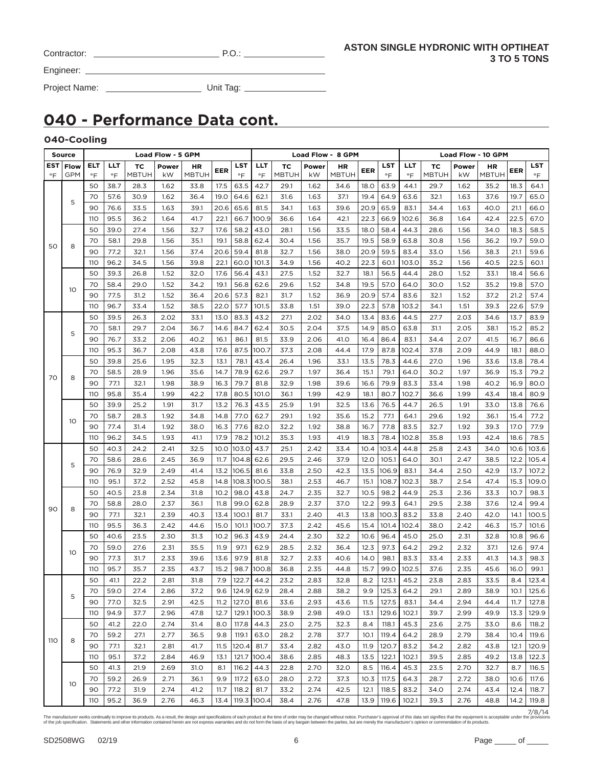| Contractor: |  |  |
|-------------|--|--|
|             |  |  |

Engineer:

Project Name: Unit Tag:

# **040 - Performance Data cont.**

### **040-Cooling**

|                  | Source             |           |                  |                    | Load Flow - 5 GPM |                    |             |                         |             |                    |             | Load Flow - 8 GPM  |      |                  | Load Flow - 10 GPM |                    |             |                    |      |                         |
|------------------|--------------------|-----------|------------------|--------------------|-------------------|--------------------|-------------|-------------------------|-------------|--------------------|-------------|--------------------|------|------------------|--------------------|--------------------|-------------|--------------------|------|-------------------------|
| <b>EST</b><br>°F | Flow<br><b>GPM</b> | ELT<br>°F | LLT<br>$\circ$ F | ТC<br><b>MBTUH</b> | Power<br>kW       | HR<br><b>MBTUH</b> | EER         | <b>LST</b><br>$\circ$ F | LLT<br>°F   | TC<br><b>MBTUH</b> | Power<br>kW | НR<br><b>MBTUH</b> | EER  | LST<br>$\circ$ F | LLT<br>$\circ$ F   | ТC<br><b>MBTUH</b> | Power<br>kW | НR<br><b>MBTUH</b> | EER  | <b>LST</b><br>$\circ$ F |
|                  |                    | 50        | 38.7             | 28.3               | 1.62              | 33.8               | 17.5        | 63.5                    | 42.7        | 29.1               | 1.62        | 34.6               | 18.O | 63.9             | 44.1               | 29.7               | 1.62        | 35.2               | 18.3 | 64.1                    |
|                  |                    | 70        | 57.6             | 30.9               | 1.62              | 36.4               | 19.0        | 64.6                    | 62.1        | 31.6               | 1.63        | 37.1               | 19.4 | 64.9             | 63.6               | 32.1               | 1.63        | 37.6               | 19.7 | 65.0                    |
|                  | 5                  | 90        | 76.6             | 33.5               | 1.63              | 39.1               | 20.6        | 65.6                    | 81.5        | 34.1               | 1.63        | 39.6               | 20.9 | 65.9             | 83.1               | 34.4               | 1.63        | 40.0               | 21.1 | 66.0                    |
|                  |                    | 110       | 95.5             | 36.2               | 1.64              | 41.7               | 22.1        | 66.7                    | 100.9       | 36.6               | 1.64        | 42.1               | 22.3 | 66.9             | 102.6              | 36.8               | 1.64        | 42.4               | 22.5 | 67.0                    |
|                  |                    | 50        | 39.0             | 27.4               | 1.56              | 32.7               | 17.6        | 58.2                    | 43.0        | 28.1               | 1.56        | 33.5               | 18.0 | 58.4             | 44.3               | 28.6               | 1.56        | 34.0               | 18.3 | 58.5                    |
|                  |                    | 70        | 58.1             | 29.8               | 1.56              | 35.1               | 19.1        | 58.8                    | 62.4        | 30.4               | 1.56        | 35.7               | 19.5 | 58.9             | 63.8               | 30.8               | 1.56        | 36.2               | 19.7 | 59.0                    |
| 50               | 8                  | 90        | 77.2             | 32.1               | 1.56              | 37.4               | 20.6        | 59.4                    | 81.8        | 32.7               | 1.56        | 38.0               | 20.9 | 59.5             | 83.4               | 33.0               | 1.56        | 38.3               | 21.1 | 59.6                    |
|                  |                    | 110       | 96.2             | 34.5               | 1.56              | 39.8               | 22.1        | 60.0                    | 101.3       | 34.9               | 1.56        | 40.2               | 22.3 | 60.1             | 103.0              | 35.2               | 1.56        | 40.5               | 22.5 | 60.1                    |
|                  |                    | 50        | 39.3             | 26.8               | 1.52              | 32.0               | 17.6        | 56.4                    | 43.1        | 27.5               | 1.52        | 32.7               | 18.1 | 56.5             | 44.4               | 28.0               | 1.52        | 33.1               | 18.4 | 56.6                    |
|                  |                    | 70        | 58.4             | 29.0               | 1.52              | 34.2               | 19.1        | 56.8                    | 62.6        | 29.6               | 1.52        | 34.8               | 19.5 | 57.0             | 64.0               | 30.0               | 1.52        | 35.2               | 19.8 | 57.0                    |
|                  | 10                 | 90        | 77.5             | 31.2               | 1.52              | 36.4               | 20.6        | 57.3                    | 82.1        | 31.7               | 1.52        | 36.9               | 20.9 | 57.4             | 83.6               | 32.1               | 1.52        | 37.2               | 21.2 | 57.4                    |
|                  |                    | 110       | 96.7             | 33.4               | 1.52              | 38.5               | 22.0        | 57.7                    | 101.5       | 33.8               | 1.51        | 39.0               | 22.3 | 57.8             | 103.2              | 34.1               | 1.51        | 39.3               | 22.6 | 57.9                    |
|                  |                    | 50        | 39.5             | 26.3               | 2.02              | 33.1               | 13.0        | 83.3                    | 43.2        | 27.1               | 2.02        | 34.0               | 13.4 | 83.6             | 44.5               | 27.7               | 2.03        | 34.6               | 13.7 | 83.9                    |
|                  |                    | 70        | 58.1             | 29.7               | 2.04              | 36.7               | 14.6        | 84.7                    | 62.4        | 30.5               | 2.04        | 37.5               | 14.9 | 85.0             | 63.8               | 31.1               | 2.05        | 38.1               | 15.2 | 85.2                    |
|                  | 5                  | 90        | 76.7             | 33.2               | 2.06              | 40.2               | 16.1        | 86.1                    | 81.5        | 33.9               | 2.06        | 41.O               | 16.4 | 86.4             | 83.1               | 34.4               | 2.07        | 41.5               | 16.7 | 86.6                    |
|                  |                    | 110       | 95.3             | 36.7               | 2.08              | 43.8               | 17.6        | 87.5                    | 100.7       | 37.3               | 2.08        | 44.4               | 17.9 | 87.8             | 102.4              | 37.8               | 2.09        | 44.9               | 18.1 | 88.0                    |
|                  |                    | 50        | 39.8             | 25.6               | 1.95              | 32.3               | 13.1        | 78.1                    | 43.4        | 26.4               | 1.96        | 33.1               | 13.5 | 78.3             | 44.6               | 27.0               | 1.96        | 33.6               | 13.8 | 78.4                    |
|                  |                    | 70        | 58.5             | 28.9               | 1.96              | 35.6               | 14.7        | 78.9                    | 62.6        | 29.7               | 1.97        | 36.4               | 15.1 | 79.1             | 64.0               | 30.2               | 1.97        | 36.9               | 15.3 | 79.2                    |
| 70               | 8                  | 90        | 77.1             | 32.1               | 1.98              | 38.9               | 16.3        | 79.7                    | 81.8        | 32.9               | 1.98        | 39.6               | 16.6 | 79.9             | 83.3               | 33.4               | 1.98        | 40.2               | 16.9 | 80.0                    |
|                  |                    | 110       | 95.8             | 35.4               | 1.99              | 42.2               | 17.8        | 80.5                    | 101.0       | 36.1               | 1.99        | 42.9               | 18.1 | 80.7             | 102.7              | 36.6               | 1.99        | 43.4               | 18.4 | 80.9                    |
|                  |                    | 50        | 39.9             | 25.2               | 1.91              | 31.7               | 13.2        | 76.3                    | 43.5        | 25.9               | 1.91        | 32.5               | 13.6 | 76.5             | 44.7               | 26.5               | 1.91        | 33.0               | 13.8 | 76.6                    |
|                  |                    | 70        | 58.7             | 28.3               | 1.92              | 34.8               | 14.8        | 77.0                    | 62.7        | 29.1               | 1.92        | 35.6               | 15.2 | 77.1             | 64.1               | 29.6               | 1.92        | 36.1               | 15.4 | 77.2                    |
|                  | 10                 | 90        | 77.4             | 31.4               | 1.92              | 38.0               | 16.3        | 77.6                    | 82.0        | 32.2               | 1.92        | 38.8               | 16.7 | 77.8             | 83.5               | 32.7               | 1.92        | 39.3               | 17.0 | 77.9                    |
|                  |                    | 110       | 96.2             | 34.5               | 1.93              | 41.1               | 17.9        | 78.2                    | 101.2       | 35.3               | 1.93        | 41.9               | 18.3 | 78.4             | 102.8              | 35.8               | 1.93        | 42.4               | 18.6 | 78.5                    |
|                  |                    | 50        | 40.3             | 24.2               | 2.41              | 32.5               | 10.0        | 103.0 43.7              |             | 25.1               | 2.42        | 33.4               | 10.4 | 103.4            | 44.8               | 25.8               | 2.43        | 34.0               | 10.6 | 103.6                   |
|                  |                    | 70        | 58.6             | 28.6               | 2.45              | 36.9               | 11.7        | 104.8                   | 62.6        | 29.5               | 2.46        | 37.9               | 12.0 | 105.1            | 64.0               | 30.1               | 2.47        | 38.5               | 12.2 | 105.4                   |
|                  | 5                  | 90        | 76.9             | 32.9               | 2.49              | 41.4               | 13.2        | 106.5                   | 81.6        | 33.8               | 2.50        | 42.3               | 13.5 | 106.9            | 83.1               | 34.4               | 2.50        | 42.9               | 13.7 | 107.2                   |
|                  |                    | 110       | 95.1             | 37.2               | 2.52              | 45.8               | 14.8        | 108.3 100.5             |             | 38.1               | 2.53        | 46.7               | 15.1 | 108.7            | 102.3              | 38.7               | 2.54        | 47.4               | 15.3 | 109.0                   |
|                  |                    | 50        | 40.5             | 23.8               | 2.34              | 31.8               | 10.2        | 98.0                    | 43.8        | 24.7               | 2.35        | 32.7               | 10.5 | 98.2             | 44.9               | 25.3               | 2.36        | 33.3               | 10.7 | 98.3                    |
|                  |                    | 70        | 58.8             | 28.0               | 2.37              | 36.1               | 11.8        | 99.0                    | 62.8        | 28.9               | 2.37        | 37.0               | 12.2 | 99.3             | 64.1               | 29.5               | 2.38        | 37.6               | 12.4 | 99.4                    |
| 90               | 8                  | 90        | 77.1             | 32.1               | 2.39              | 40.3               | 13.4        | 100.1                   | 81.7        | 33.1               | 2.40        | 41.3               | 13.8 | 100.3            | 83.2               | 33.8               | 2.40        | 42.0               | 14.1 | 100.5                   |
|                  |                    | 110       | 95.5             | 36.3               | 2.42              | 44.6               | <b>15.0</b> | 101.1                   | 100.7       | 37.3               | 2.42        | 45.6               | 15.4 | 101.4            | 102.4              | 38.0               | 2.42        | 46.3               | 15.7 | 101.6                   |
|                  |                    | 50        | 40.6             | 23.5               | 2.30              | 31.3               | 10.2        | 96.3                    | 43.9        | 24.4               | 2.30        | 32.2               | 10.6 | 96.4             | 45.0               | 25.0               | 2.31        | 32.8               | 10.8 | 96.6                    |
|                  |                    | 70        | 59.0             | 27.6               | 2.31              | 35.5               | 11.9        | 97.1                    | 62.9        | 28.5               | 2.32        | 36.4               | 12.3 | 97.3             | 64.2               | 29.2               | 2.32        | 37.1               | 12.6 | 97.4                    |
|                  | 10                 | 90        | 77.3             | 31.7               | 2.33              | 39.6               | 13.6        | 97.9                    | 81.8        | 32.7               | 2.33        | 40.6               | 14.0 | 98.1             | 83.3               | 33.4               | 2.33        | 41.3               | 14.3 | 98.3                    |
|                  |                    | 110       | 95.7             | 35.7               | 2.35              | 43.7               | 15.2        | 98.7                    | 100.8       | 36.8               | 2.35        | 44.8               | 15.7 | 99.0             | 102.5              | 37.6               | 2.35        | 45.6               | 16.0 | 99.1                    |
|                  |                    | 50        | 41.1             | 22.2               | 2.81              | 31.8               | 7.9         | 122.7                   | 44.2        | 23.2               | 2.83        | 32.8               | 8.2  | 123.1            | 45.2               | 23.8               | 2.83        | 33.5               | 8.4  | 123.4                   |
|                  |                    | 70        | 59.0             | 27.4               | 2.86              | 37.2               | 9.6         | 124.9 62.9              |             | 28.4               | 2.88        | 38.2               | 9.9  | 125.3            | 64.2               | 29.1               | 2.89        | 38.9               | 10.1 | 125.6                   |
|                  | 5                  | 90        | 77.0             | 32.5               | 2.91              | 42.5               | 11.2        | 127.0                   | 81.6        | 33.6               | 2.93        | 43.6               | 11.5 | 127.5            | 83.1               | 34.4               | 2.94        | 44.4               | 11.7 | 127.8                   |
|                  |                    | 110       | 94.9             | 37.7               | 2.96              | 47.8               | 12.7        | 129.1                   | 100.3       | 38.9               | 2.98        | 49.0               | 13.1 | 129.6            | 102.1              | 39.7               | 2.99        | 49.9               | 13.3 | 129.9                   |
|                  |                    | 50        | 41.2             | 22.0               | 2.74              | 31.4               | 8.0         | 117.8                   | 44.3        | 23.0               | 2.75        | 32.3               | 8.4  | 118.1            | 45.3               | 23.6               | 2.75        | 33.0               | 8.6  | 118.2                   |
|                  |                    | 70        | 59.2             | 27.1               | 2.77              | 36.5               | 9.8         | 119.1                   | 63.0        | 28.2               | 2.78        | 37.7               | 10.1 | 119.4            | 64.2               | 28.9               | 2.79        | 38.4               | 10.4 | 119.6                   |
| 110              | 8                  | 90        | 77.1             | 32.1               | 2.81              | 41.7               | 11.5        | 120.4                   | 81.7        | 33.4               | 2.82        | 43.0               | 11.9 | 120.7            | 83.2               | 34.2               | 2.82        | 43.8               | 12.1 | 120.9                   |
|                  |                    | 110       | 95.1             | 37.2               | 2.84              | 46.9               | 13.1        | 121.7                   | 100.4       | 38.6               | 2.85        | 48.3               | 13.5 | 122.1            | 102.1              | 39.5               | 2.85        | 49.2               | 13.8 | 122.3                   |
|                  |                    | 50        | 41.3             | 21.9               | 2.69              | 31.0               | 8.1         | 116.2                   | 44.3        | 22.8               | 2.70        | 32.0               | 8.5  | 116.4            | 45.3               | 23.5               | 2.70        | 32.7               | 8.7  | 116.5                   |
|                  |                    | 70        | 59.2             | 26.9               | 2.71              | 36.1               | 9.9         | 117.2                   | 63.0        | 28.0               | 2.72        | 37.3               | 10.3 | 117.5            | 64.3               | 28.7               | 2.72        | 38.0               | 10.6 | 117.6                   |
|                  | 10                 | 90        | 77.2             | 31.9               | 2.74              | 41.2               | 11.7        | 118.2                   | 81.7        | 33.2               | 2.74        | 42.5               | 12.1 | 118.5            | 83.2               | 34.0               | 2.74        | 43.4               | 12.4 | 118.7                   |
|                  |                    | 110       | 95.2             | 36.9               | 2.76              | 46.3               | 13.4        |                         | 119.3 100.4 | 38.4               | 2.76        | 47.8               | 13.9 | 119.6            | 102.1              | 39.3               | 2.76        | 48.8               | 14.2 | 119.8                   |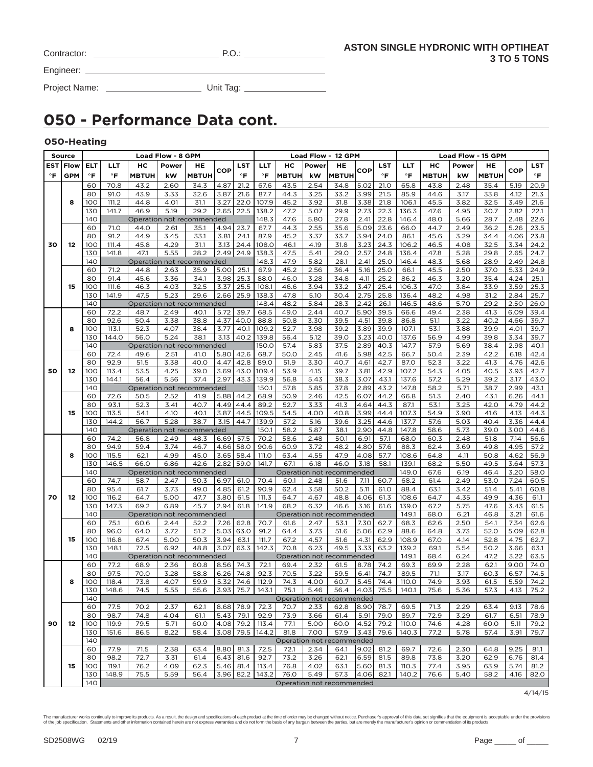| Contractor: |  |
|-------------|--|
|             |  |

 $P.O.:$ 

Engineer:

Project Name: Unit Tag:

# **050 - Performance Data cont.**

### **050-Heating**

|     | Source     |              |              |                           | <b>Load Flow - 8 GPM</b> |                           |              |             |                     |              |              | Load Flow - 12 GPM        |              |                | Load Flow - 15 GPM |              |              |              |              |              |
|-----|------------|--------------|--------------|---------------------------|--------------------------|---------------------------|--------------|-------------|---------------------|--------------|--------------|---------------------------|--------------|----------------|--------------------|--------------|--------------|--------------|--------------|--------------|
| EST | Flow       | ᄄ            | LLT          | нc                        | Power                    | HE                        |              | LST         | LLT                 | нс           | Power        | HE                        |              | LST            | LLT                | нc           | Power        | HE           |              | LST          |
| °F  | <b>GPM</b> | $\mathsf{P}$ | $\mathsf{P}$ | <b>MBTUH</b>              | kW                       | <b>MBTUH</b>              | COP          | °F          | °F                  | <b>MBTUH</b> | kW           | <b>MBTUH</b>              | COP          | °F             | $\mathsf{P}$       | <b>MBTUH</b> | kW           | <b>MBTUH</b> | <b>COP</b>   | °F           |
|     |            | 60           | 70.8         | 43.2                      | 2.60                     | 34.3                      | 4.87         | 21.2        | 67.6                | 43.5         | 2.54         | 34.8                      | 5.02         | 21.0           | 65.8               | 43.8         | 2.48         | 35.4         | 5.19         | 20.9         |
|     |            | 80           | 91.0         | 43.9                      | 3.33                     | 32.6                      | 3.87         | 21.6        | 87.7                | 44.3         | 3.25         | 33.2                      | 3.99         | 21.5           | 85.9               | 44.6         | 3.17         | 33.8         | 4.12         | 21.3         |
|     | 8          | 100          | 111.2        | 44.8                      | 4.01                     | 31.1                      | 3.27         | 22.0        | 107.9               | 45.2         | 3.92         | 31.8                      | 3.38         | 21.8           | 106.1              | 45.5         | 3.82         | 32.5         | 3.49         | 21.6         |
|     |            | 130          | 141.7        | 46.9                      | 5.19                     | 29.2                      | 2.65         | 22.5        | 138.2               | 47.2         | 5.07         | 29.9                      | 2.73         | 22.3           | 136.3              | 47.6         | 4.95         | 30.7         | 2.82         | 22.1         |
|     |            | 140          |              |                           |                          |                           |              |             |                     |              |              |                           | 2.41         |                |                    |              | 5.66         |              | 2.48         |              |
|     |            |              |              |                           |                          | Operation not recommended |              |             | 148.3               | 47.6<br>44.3 | 5.80         | 27.8                      |              | 22.8           | 146.4              | 48.0<br>44.7 |              | 28.7         |              | 22.6         |
|     |            | 60           | 71.0<br>91.2 | 44.0                      | 2.61                     | 35.1<br>33.1              | 4.94         | 23.7        | 67.7                | 45.2         | 2.55         | 35.6                      | 5.09         | 23.6<br>24.0   | 66.0               | 45.6         | 2.49         | 36.2<br>34.4 | 5.26         | 23.5         |
|     |            | 80           |              | 44.9                      | 3.45                     |                           | 3.81         | 24.1        | 87.9                |              | 3.37         | 33.7                      | 3.94         |                | 86.1               |              | 3.29         |              | 4.06         | 23.8         |
| 30  | 12         | 100          | 111.4        | 45.8                      | 4.29                     | 31.1                      | 3.13<br>2.49 | 24.4        | 108.0               | 46.1         | 4.19         | 31.8                      | 3.23         | 24.3           | 106.2              | 46.5         | 4.08         | 32.5         | 3.34         | 24.2         |
|     |            | 130          | 141.8        | 47.1                      | 5.55                     | 28.2                      |              | 24.9        | 138.3               | 47.5         | 5.41         | 29.0                      | 2.57         | 24.8           | 136.4              | 47.8         | 5.28         | 29.8         | 2.65         | 24.7         |
|     |            | 140          |              | Operation not recommended |                          |                           |              |             | 148.3               | 47.9         | 5.82         | 28.1                      | 2.41         | 25.0           | 146.4              | 48.3         | 5.68         | 28.9         | 2.49         | 24.8         |
|     |            | 60           | 71.2         | 44.8                      | 2.63                     | 35.9                      | 5.00         | 25.1        | 67.9                | 45.2         | 2.56         | 36.4                      | 5.16         | 25.0           | 66.1               | 45.5         | 2.50         | 37.0         | 5.33         | 24.9         |
|     |            | 80           | 91.4         | 45.6                      | 3.36                     | 34.1                      | 3.98         | 25.3        | 88.0                | 46.0         | 3.28         | 34.8                      | 4.11         | 25.2           | 86.2               | 46.3         | 3.20         | 35.4         | 4.24         | 25.1         |
|     | 15         | 100          | 111.6        | 46.3                      | 4.03                     | 32.5                      | 3.37         | 25.5        | 108.1               | 46.6         | 3.94         | 33.2                      | 3.47         | 25.4           | 106.3              | 47.0         | 3.84         | 33.9         | 3.59         | 25.3         |
|     |            | 130          | 141.9        | 47.5                      | 5.23                     | 29.6                      | 2.66         | 25.9        | 138.3               | 47.8         | 5.10         | 30.4                      | 2.75         | 25.8           | 136.4              | 48.2         | 4.98         | 31.2         | 2.84         | 25.7         |
|     |            | 140          |              |                           |                          | Operation not recommended |              |             | 148.4               | 48.2         | 5.84         | 28.3                      | 2.42         | 26.1           | 146.5              | 48.6         | 5.70         | 29.2         | 2.50         | 26.0         |
|     |            | 60           | 72.2         | 48.7                      | 2.49                     | 40.1                      | 5.72         | 39.7        | 68.5                | 49.0         | 2.44         | 40.7                      | 5.90         | 39.5           | 66.6               | 49.4         | 2.38         | 41.3         | 6.09         | 39.4         |
|     |            | 80           | 92.6         | 50.4                      | 3.38                     | 38.8                      | 4.37         | 40.0        | 88.8                | 50.8         | 3.30         | 39.5                      | 4.51         | 39.8           | 86.8               | 51.1         | 3.22         | 40.2         | 4.66         | 39.7         |
|     | 8          | 100          | 113.1        | 52.3                      | 4.07                     | 38.4                      | 3.77         | 40.1        | 109.2               | 52.7         | 3.98         | 39.2                      | 3.89         | 39.9           | 107.1              | 53.1         | 3.88         | 39.9         | 4.01         | 39.7         |
|     |            | 130          | 144.0        | 56.0                      | 5.24                     | 38.1                      | 3.13         | 40.2        | 139.8               | 56.4         | 5.12         | 39.0                      | 3.23         | 40.0           | 137.6              | 56.9         | 4.99         | 39.8         | 3.34         | 39.7         |
|     |            | 140          |              | Operation not recommended |                          |                           |              |             | 150.0               | 57.4         | 5.83         | 37.5                      | 2.89         | 40.3           | 147.7              | 57.9         | 5.69         | 38.4         | 2.98         | 40.1         |
|     |            | 60           | 72.4         | 49.6                      | 2.51                     | 41.O                      | 5.80         | 42.6        | 68.7                | 50.0         | 2.45         | 41.6                      | 5.98         | 42.5           | 66.7               | 50.4         | 2.39         | 42.2         | 6.18         | 42.4         |
|     |            | 80           | 92.9         | 51.5                      | 3.38                     | 40.0                      | 4.47         | 42.8        | 89.0                | 51.9         | 3.30         | 40.7                      | 4.61         | 42.7           | 87.0               | 52.3         | 3.22         | 41.3         | 4.76         | 42.6         |
| 50  | 12         | 100          | 113.4        | 53.5                      | 4.25                     | 39.0                      | 3.69         | 43.0        | 109.4               | 53.9         | 4.15         | 39.7                      | 3.81         | 42.9           | 107.2              | 54.3         | 4.05         | 40.5         | 3.93         | 42.7         |
|     |            | 130          | 144.1        | 56.4                      | 5.56                     | 37.4                      | 2.97         | 43.3        | 139.9               | 56.8         | 5.43         | 38.3                      | 3.07         | 43.1           | 137.6              | 57.2         | 5.29         | 39.2         | 3.17         | 43.0         |
|     |            | 140          |              | Operation not recommended |                          |                           |              |             | 150.1               | 57.8         | 5.85         | 37.8                      | 2.89         | 43.2           | 147.8              | 58.2         | 5.71<br>2.40 | 38.7         | 2.99         | 43.1         |
|     |            | 60           | 72.6         | 50.5                      | 2.52                     | 41.9<br>40.7              | 5.88<br>4.49 | 44.2        | 68.9                | 50.9         | 2.46         | 42.5                      | 6.07         | 44.2           | 66.8               | 51.3         |              | 43.1<br>42.0 | 6.26         | 44.1         |
|     |            | 80           | 93.1         | 52.3                      | 3.41                     |                           | 3.87         | 44.4        | 89.2                | 52.7         | 3.33         | 41.3                      | 4.64         | 44.3           | 87.1               | 53.1         | 3.25         |              | 4.79         | 44.2<br>44.3 |
|     | 15         | 100          | 113.5        | 54.1                      | 4.10                     | 40.1                      |              | 44.5        | 109.5               | 54.5         | 4.00         | 40.8                      | 3.99         | 44.4           | 107.3              | 54.9         | 3.90         | 41.6         | 4.13         |              |
|     |            | 130<br>140   | 144.2        | 56.7                      | 5.28                     | 38.7                      | 3.15         | 44.7        | 139.9               | 57.2         | 5.16         | 39.6                      | 3.25         | 44.6           | 137.7              | 57.6         | 5.03         | 40.4         | 3.36         | 44.4         |
|     |            |              | 74.2         | Operation not recommended |                          |                           |              | 57.5        | 150.1<br>70.2       | 58.2         | 5.87         | 38.1                      | 2.90<br>6.91 | 44.8           | 147.8              | 58.6         | 5.73         | 39.0         | 3.00<br>7.14 | 44.6         |
|     |            | 60<br>80     | 94.9         | 56.8<br>59.4              | 2.49<br>3.74             | 48.3<br>46.7              | 6.69<br>4.66 | 58.0        | 90.6                | 58.6<br>60.9 | 2.48<br>3.72 | 50.1<br>48.2              | 4.80         | 57.1<br>57.6   | 68.0<br>88.3       | 60.3<br>62.4 | 2.48<br>3.69 | 51.8<br>49.8 | 4.95         | 56.6<br>57.2 |
|     | 8          | 100          | 115.5        | 62.1                      | 4.99                     | 45.0                      | 3.65         | 58.4        | 111.O               | 63.4         | 4.55         | 47.9                      | 4.08         | 57.7           | 108.6              | 64.8         | 4.11         | 50.8         | 4.62         | 56.9         |
|     |            | 130          | 146.5        | 66.0                      | 6.86                     | 42.6                      | 2.82         | 59.0        | 141.7               | 67.1         | 6.18         | 46.0                      | 3.18         | 58.1           | 139.1              | 68.2         | 5.50         | 49.5         | 3.64         | 57.3         |
|     |            | 140          |              | Operation not recommended |                          |                           |              |             |                     |              |              | Operation not recommended |              |                | 149.0              | 67.6         | 6.19         | 46.4         | 3.20         | 58.0         |
|     |            | 60           | 74.7         | 58.7                      | 2.47                     | 50.3                      | 6.97         | 61.0        | 70.4                | 60.1         | 2.48         | 51.6                      | 7.11         | 60.7           | 68.2               | 61.4         | 2.49         | 53.0         | 7.24         | 60.5         |
|     |            | 80           | 95.4         | 61.7                      | 3.73                     | 49.0                      | 4.85         | 61.2        | 90.9                | 62.4         | 3.58         | 50.2                      | 5.11         | 61.0           | 88.4               | 63.1         | 3.42         | 51.4         | 5.41         | 60.8         |
| 70  | 12         | 100          | 116.2        | 64.7                      | 5.00                     | 47.7                      | 3.80         | 61.5        | 111.3               | 64.7         | 4.67         | 48.8                      | 4.06         | 61.3           | 108.6              | 64.7         | 4.35         | 49.9         | 4.36         | 61.1         |
|     |            | 130          | 147.3        | 69.2                      | 6.89                     | 45.7                      | 2.94         | 61.8        | 141.9               | 68.2         | 6.32         | 46.6                      | 3.16         | 61.6           | 139.0              | 67.2         | 5.75         | 47.6         | 3.43         | 61.5         |
|     |            | 140          |              | Operation not recommended |                          |                           |              |             |                     |              |              | Operation not recommended |              |                | 149.1              | 68.0         | 6.21         | 46.8         | 3.21         | 61.6         |
|     |            | 60           | 75.1         | 60.6                      | 2.44                     | 52.2                      | 7.26         | 62.8        | 70.7                | 61.6         | 2.47         | 53.1                      | 7.30         | 62.7           | 68.3               | 62.6         | 2.50         | 54.1         | 7.34         | 62.6         |
|     |            | 80           | 96.0         | 64.0                      | 3.72                     | 51.2                      | 5.03         | 63.0        | 91.2                | 64.4         | 3.73         | 51.6                      | 5.06         | 62.9           | 88.6               | 64.8         | 3.73         | 52.0         | 5.09         | 62.8         |
|     | 15         | 100          | 116.8        | 67.4                      | 5.00                     | 50.3                      | 3.94         | 63.1        | 111.7               | 67.2         | 4.57         | 51.6                      | 4.31         | 62.9           | 108.9              | 67.0         | 4.14         | 52.8         | 4.75         | 62.7         |
|     |            | 130          | 148.1        | 72.5                      | 6.92                     | 48.8                      | 3.07         | 63.3        | 142.3               | 70.8         | 6.23         | 49.5                      | 3.33         | 63.2           | 139.2              | 69.1         | 5.54         | 50.2         | 3.66         | 63.1         |
|     |            | 140          |              | Operation not recommended |                          |                           |              |             |                     |              |              | Operation not recommended |              |                | 149.1              | 68.4         | 6.24         | 47.2         | 3.22         | 63.5         |
|     |            | 60           | 77.2         | 68.9                      | 2.36                     | 60.8                      | 8.56         | 74.3        | 72.1                | 69.4         | 2.32         | 61.5                      | 8.78         | 74.2           | 69.3               | 69.9         | 2.28         | 62.1         | 9.00         | 74.0         |
|     |            | 80           | 97.5         | 70.0                      | 3.28                     | 58.8                      | 6.26         | 74.8        | 92.3                | 70.5         | 3.22         | 59.5                      | 6.41         | 74.7           | 89.5               | 71.1         | 3.17         | 60.3         | 6.57         | 74.5         |
|     | 8          | 100          | 118.4        | 73.8                      | 4.07                     | 59.9                      | 5.32         | 74.6        | 112.9               | 74.3         | 4.00         | 60.7                      | 5.45         | 74.4           | 110.0              | 74.9         | 3.93         | 61.5         | 5.59         | 74.2         |
|     |            | 130          | 148.6        | 74.5                      | 5.55                     | 55.6                      |              |             | 3.93   75.7   143.1 | 75.1         | 5.46         |                           |              | 56.4 4.03 75.5 | 140.1              | 75.6         | 5.36         | 57.3         | 4.13         | 75.2         |
|     |            | 140          |              |                           |                          |                           |              |             |                     |              |              | Operation not recommended |              |                |                    |              |              |              |              |              |
|     |            | 60           | 77.5         | 70.2                      | 2.37                     | 62.1                      |              | $8.68$ 78.9 | 72.3                | 70.7         | 2.33         | 62.8                      |              | 8.90 78.7      | 69.5               | 71.3         | 2.29         | 63.4         | 9.13         | 78.6         |
|     |            | 80           | 98.7         | 74.8                      | 4.04                     | 61.1                      | $5.43$ 79.1  |             | 92.9                | 73.9         | 3.66         | 61.4                      | 5.91         | 79.0           | 89.7               | 72.9         | 3.29         | 61.7         | 6.51         | 78.9         |
| 90  | 12         | 100          | 119.9        | 79.5                      | 5.71                     | 60.0                      |              | 4.08 79.2   | 113.4               | 77.1         | 5.00         | 60.0                      | 4.52         | 79.2           | 110.0              | 74.6         | 4.28         | 60.0         | 5.11         | 79.2         |
|     |            | 130          | 151.6        | 86.5                      | 8.22                     | 58.4                      | 3.08         | 79.5        | 144.2               | 81.8         | 7.00         | 57.9                      | 3.43         | 79.6           | 140.3              | 77.2         | 5.78         | 57.4         | 3.91         | 79.7         |
|     |            | 140          |              |                           |                          |                           |              |             |                     |              |              | Operation not recommended |              |                |                    |              |              |              |              |              |
|     |            | 60           | 77.9         | 71.5                      | 2.38                     | 63.4                      | 8.80         | 81.3        | 72.5                | 72.1         | 2.34         | 64.1                      | 9.02         | 81.2           | 69.7               | 72.6         | 2.30         | 64.8         | 9.25         | 81.1         |
|     |            | 80           | 98.2         | 72.7                      | 3.31                     | 61.4                      | 6.43         | 81.6        | 92.7                | 73.2         | 3.26         | 62.1                      | 6.59         | 81.5           | 89.8               | 73.8         | 3.20         | 62.9         | 6.76         | 81.4         |
|     | 15         | 100          | 119.1        | 76.2                      | 4.09                     | 62.3                      | 5.46         | 81.4        | 113.4               | 76.8         | 4.02         | 63.1                      | 5.60         | 81.3           | 110.3              | 77.4         | 3.95         | 63.9         | 5.74         | 81.2         |
|     |            | 130          | 148.9        | 75.5                      | 5.59                     | 56.4                      |              |             | 3.96 82.2 143.2     | 76.0         | 5.49         | 57.3                      | 4.06         | 82.1           | 140.2              | 76.6         | 5.40         | 58.2         | 4.16         | 82.0         |
|     |            | 140          |              |                           |                          |                           |              |             |                     |              |              | Operation not recommended |              |                |                    |              |              |              |              |              |

4/14/15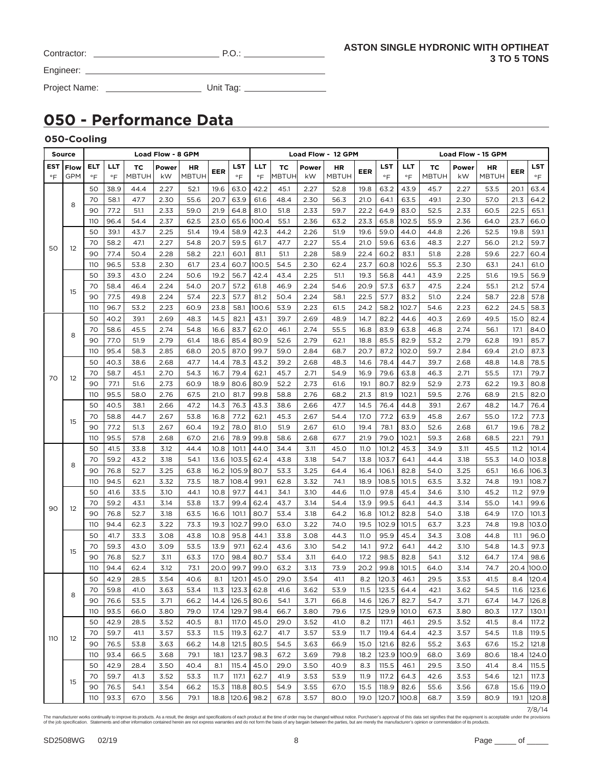| Contractor: |  |
|-------------|--|
| Engineer:   |  |

Project Name: Unit Tag:

# **050 - Performance Data**

### **050-Cooling**

|                  | Source             |                  |                  |                           | Load Flow - 8 GPM |                    |            |                  |                  |             |             | Load Flow - 12 GPM |             |                  |                  |                           |             | Load Flow - 15 GPM |            |           |
|------------------|--------------------|------------------|------------------|---------------------------|-------------------|--------------------|------------|------------------|------------------|-------------|-------------|--------------------|-------------|------------------|------------------|---------------------------|-------------|--------------------|------------|-----------|
| EST<br>$\circ$ F | Flow<br><b>GPM</b> | ELT<br>$\circ$ F | LLT<br>$\circ$ F | <b>TC</b><br><b>MBTUH</b> | Power<br>kW       | ΗR<br><b>MBTUH</b> | <b>EER</b> | LST<br>$\circ$ F | LLT<br>$\circ$ F | тc<br>MBTUH | Power<br>kW | HR<br><b>MBTUH</b> | EER         | LST<br>$\circ$ F | LLT<br>$\circ$ F | <b>TC</b><br><b>MBTUH</b> | Power<br>kW | HR<br><b>MBTUH</b> | <b>EER</b> | LST<br>°F |
|                  |                    | 50               | 38.9             | 44.4                      | 2.27              | 52.1               | 19.6       | 63.0             | 42.2             | 45.1        | 2.27        | 52.8               | 19.8        | 63.2             | 43.9             | 45.7                      | 2.27        | 53.5               | 20.1       | 63.4      |
|                  | 8                  | 70               | 58.1             | 47.7                      | 2.30              | 55.6               | 20.7       | 63.9             | 61.6             | 48.4        | 2.30        | 56.3               | 21.0        | 64.1             | 63.5             | 49.1                      | 2.30        | 57.0               | 21.3       | 64.2      |
|                  |                    | 90               | 77.2             | 51.1                      | 2.33              | 59.0               | 21.9       | 64.8             | 81.0             | 51.8        | 2.33        | 59.7               | 22.2        | 64.9             | 83.0             | 52.5                      | 2.33        | 60.5               | 22.5       | 65.1      |
|                  |                    | 110              | 96.4             | 54.4                      | 2.37              | 62.5               | 23.0       | 65.6             | 100.4            | 55.1        | 2.36        | 63.2               | 23.3        | 65.8             | 102.5            | 55.9                      | 2.36        | 64.0               | 23.7       | 66.0      |
|                  |                    | 50               | 39.1             | 43.7                      | 2.25              | 51.4               | 19.4       | 58.9             | 42.3             | 44.2        | 2.26        | 51.9               | 19.6        | 59.0             | 44.0             | 44.8                      | 2.26        | 52.5               | 19.8       | 59.1      |
| 50               | 12                 | 70               | 58.2             | 47.1                      | 2.27              | 54.8               | 20.7       | 59.5             | 61.7             | 47.7        | 2.27        | 55.4               | 21.0        | 59.6             | 63.6             | 48.3                      | 2.27        | 56.0               | 21.2       | 59.7      |
|                  |                    | 90               | 77.4             | 50.4                      | 2.28              | 58.2               | 22.1       | 60.1             | 81.1             | 51.1        | 2.28        | 58.9               | 22.4        | 60.2             | 83.1             | 51.8                      | 2.28        | 59.6               | 22.7       | 60.4      |
|                  |                    | 110              | 96.5             | 53.8                      | 2.30              | 61.7               | 23.4       | 60.7             | 100.5            | 54.5        | 2.30        | 62.4               | 23.7        | 60.8             | 102.6            | 55.3                      | 2.30        | 63.1               | 24.1       | 61.0      |
|                  |                    | 50               | 39.3             | 43.0                      | 2.24              | 50.6               | 19.2       | 56.7             | 42.4             | 43.4        | 2.25        | 51.1               | 19.3        | 56.8             | 44.1             | 43.9                      | 2.25        | 51.6               | 19.5       | 56.9      |
|                  | 15                 | 70               | 58.4             | 46.4                      | 2.24              | 54.0               | 20.7       | 57.2             | 61.8             | 46.9        | 2.24        | 54.6               | 20.9        | 57.3             | 63.7             | 47.5                      | 2.24        | 55.1               | 21.2       | 57.4      |
|                  |                    | 90               | 77.5             | 49.8                      | 2.24              | 57.4               | 22.3       | 57.7             | 81.2             | 50.4        | 2.24        | 58.1               | 22.5        | 57.7             | 83.2             | 51.0                      | 2.24        | 58.7               | 22.8       | 57.8      |
|                  |                    | 110              | 96.7             | 53.2                      | 2.23              | 60.9               | 23.8       | 58.1             | 100.6            | 53.9        | 2.23        | 61.5               | 24.2        | 58.2             | 102.7            | 54.6                      | 2.23        | 62.2               | 24.5       | 58.3      |
|                  |                    | 50               | 40.2             | 39.1                      | 2.69              | 48.3               | 14.5       | 82.1             | 43.1             | 39.7        | 2.69        | 48.9               | 14.7        | 82.2             | 44.6             | 40.3                      | 2.69        | 49.5               | 15.0       | 82.4      |
|                  | 8                  | 70               | 58.6             | 45.5                      | 2.74              | 54.8               | 16.6       | 83.7             | 62.0             | 46.1        | 2.74        | 55.5               | 16.8        | 83.9             | 63.8             | 46.8                      | 2.74        | 56.1               | 17.1       | 84.0      |
|                  |                    | 90               | 77.0             | 51.9                      | 2.79              | 61.4               | 18.6       | 85.4             | 80.9             | 52.6        | 2.79        | 62.1               | 18.8        | 85.5             | 82.9             | 53.2                      | 2.79        | 62.8               | 19.1       | 85.7      |
|                  |                    | 110              | 95.4             | 58.3                      | 2.85              | 68.0               | 20.5       | 87.0             | 99.7             | 59.0        | 2.84        | 68.7               | 20.7        | 87.2             | 102.0            | 59.7                      | 2.84        | 69.4               | 21.0       | 87.3      |
|                  |                    | 50               | 40.3             | 38.6                      | 2.68              | 47.7               | 14.4       | 78.3             | 43.2             | 39.2        | 2.68        | 48.3               | 14.6        | 78.4             | 44.7             | 39.7                      | 2.68        | 48.8               | 14.8       | 78.5      |
| 70               | 12                 | 70               | 58.7             | 45.1                      | 2.70              | 54.3               | 16.7       | 79.4             | 62.1             | 45.7        | 2.71        | 54.9               | 16.9        | 79.6             | 63.8             | 46.3                      | 2.71        | 55.5               | 17.1       | 79.7      |
|                  |                    | 90               | 77.1             | 51.6                      | 2.73              | 60.9               | 18.9       | 80.6             | 80.9             | 52.2        | 2.73        | 61.6               | 19.1        | 80.7             | 82.9             | 52.9                      | 2.73        | 62.2               | 19.3       | 80.8      |
|                  |                    | 110              | 95.5             | 58.0                      | 2.76              | 67.5               | 21.0       | 81.7             | 99.8             | 58.8        | 2.76        | 68.2               | 21.3        | 81.9             | 102.1            | 59.5                      | 2.76        | 68.9               | 21.5       | 82.0      |
|                  |                    | 50               | 40.5             | 38.1                      | 2.66              | 47.2               | 14.3       | 76.3             | 43.3             | 38.6        | 2.66        | 47.7               | 14.5        | 76.4             | 44.8             | 39.1                      | 2.67        | 48.2               | 14.7       | 76.4      |
|                  | 15                 | 70               | 58.8             | 44.7                      | 2.67              | 53.8               | 16.8       | 77.2             | 62.1             | 45.3        | 2.67        | 54.4               | <b>17.0</b> | 77.2             | 63.9             | 45.8                      | 2.67        | 55.0               | 17.2       | 77.3      |
|                  |                    | 90               | 77.2             | 51.3                      | 2.67              | 60.4               | 19.2       | 78.0             | 81.0             | 51.9        | 2.67        | 61.0               | 19.4        | 78.1             | 83.0             | 52.6                      | 2.68        | 61.7               | 19.6       | 78.2      |
|                  |                    | 110              | 95.5             | 57.8                      | 2.68              | 67.0               | 21.6       | 78.9             | 99.8             | 58.6        | 2.68        | 67.7               | 21.9        | 79.0             | 102.1            | 59.3                      | 2.68        | 68.5               | 22.1       | 79.1      |
|                  |                    | 50               | 41.5             | 33.8                      | 3.12              | 44.4               | 10.8       | 101.1            | 44.0             | 34.4        | 3.11        | 45.0               | 11.O        | 101.2            | 45.3             | 34.9                      | 3.11        | 45.5               | 11.2       | 101.4     |
|                  | 8                  | 70               | 59.2             | 43.2                      | 3.18              | 54.1               | 13.6       | 103.5            | 62.4             | 43.8        | 3.18        | 54.7               | 13.8        | 103.7            | 64.1             | 44.4                      | 3.18        | 55.3               | 14.0       | 103.8     |
|                  |                    | 90               | 76.8             | 52.7                      | 3.25              | 63.8               | 16.2       | 105.9            | 80.7             | 53.3        | 3.25        | 64.4               | 16.4        | 106.1            | 82.8             | 54.0                      | 3.25        | 65.1               | 16.6       | 106.3     |
|                  |                    | 110              | 94.5             | 62.1                      | 3.32              | 73.5               | 18.7       | 108.4            | 99.1             | 62.8        | 3.32        | 74.1               | 18.9        | 108.5            | 101.5            | 63.5                      | 3.32        | 74.8               | 19.1       | 108.7     |
|                  |                    | 50               | 41.6             | 33.5                      | 3.10              | 44.1               | 10.8       | 97.7             | 44.1             | 34.1        | 3.10        | 44.6               | 11.O        | 97.8             | 45.4             | 34.6                      | 3.10        | 45.2               | 11.2       | 97.9      |
| 90               | 12                 | 70               | 59.2             | 43.1                      | 3.14              | 53.8               | 13.7       | 99.4             | 62.4             | 43.7        | 3.14        | 54.4               | 13.9        | 99.5             | 64.1             | 44.3                      | 3.14        | 55.0               | 14.1       | 99.6      |
|                  |                    | 90               | 76.8             | 52.7                      | 3.18              | 63.5               | 16.6       | 101.1            | 80.7             | 53.4        | 3.18        | 64.2               | 16.8        | 101.2            | 82.8             | 54.0                      | 3.18        | 64.9               | 17.0       | 101.3     |
|                  |                    | 110              | 94.4             | 62.3                      | 3.22              | 73.3               | 19.3       | 102.7            | 99.0             | 63.0        | 3.22        | 74.0               | 19.5        | 102.9            | 101.5            | 63.7                      | 3.23        | 74.8               | 19.8       | 103.0     |
|                  |                    | 50               | 41.7             | 33.3                      | 3.08              | 43.8               | 10.8       | 95.8             | 44.1             | 33.8        | 3.08        | 44.3               | 11.O        | 95.9             | 45.4             | 34.3                      | 3.08        | 44.8               | 11.1       | 96.0      |
|                  | 15                 | 70               | 59.3             | 43.0                      | 3.09              | 53.5               | 13.9       | 97.1             | 62.4             | 43.6        | 3.10        | 54.2               | 14.1        | 97.2             | 64.1             | 44.2                      | 3.10        | 54.8               | 14.3       | 97.3      |
|                  |                    | 90               | 76.8             | 52.7                      | 3.11              | 63.3               | 17.0       | 98.4             | 80.7             | 53.4        | 3.11        | 64.0               | 17.2        | 98.5             | 82.8             | 54.1                      | 3.12        | 64.7               | 17.4       | 98.6      |
|                  |                    | 110              | 94.4             | 62.4                      | 3.12              | 73.1               | 20.0       | 99.7             | 99.0             | 63.2        | 3.13        | 73.9               | 20.2        | 99.8             | 101.5            | 64.0                      | 3.14        | 74.7               | 20.4       | 100.0     |
|                  |                    | 50               | 42.9             | 28.5                      | 3.54              | 40.6               | 8.1        | 120.1            | 45.0             | 29.0        | 3.54        | 41.1               | 8.2         | 120.3            | 46.1             | 29.5                      | 3.53        | 41.5               | 8.4        | 120.4     |
|                  | 8                  | 70               | 59.8             | 41.0                      | 3.63              | 53.4               |            | $11.3$   123.3   | 62.8             | 41.6        | 3.62        | 53.9               | 11.5        |                  | 123.5 64.4       | 42.1                      | 3.62        | 54.5               | 11.6       | 123.6     |
|                  |                    | 90               | 76.6             | 53.5                      | 3.71              | 66.2               | 14.4       | 126.5            | 80.6             | 54.1        | 3.71        | 66.8               | 14.6        | 126.7            | 82.7             | 54.7                      | 3.71        | 67.4               | 14.7       | 126.8     |
|                  |                    | 110              | 93.5             | 66.0                      | 3.80              | 79.0               | 17.4       | 129.7            | 98.4             | 66.7        | 3.80        | 79.6               | 17.5        |                  | 129.9 101.0      | 67.3                      | 3.80        | 80.3               | 17.7       | 130.1     |
|                  |                    | 50               | 42.9             | 28.5                      | 3.52              | 40.5               | 8.1        | 117.O            | 45.0             | 29.0        | 3.52        | 41.0               | 8.2         | 117.1            | 46.1             | 29.5                      | 3.52        | 41.5               | 8.4        | 117.2     |
| 110              | 12                 | 70               | 59.7             | 41.1                      | 3.57              | 53.3               | 11.5       | 119.3            | 62.7             | 41.7        | 3.57        | 53.9               | 11.7        | 119.4            | 64.4             | 42.3                      | 3.57        | 54.5               | 11.8       | 119.5     |
|                  |                    | 90               | 76.5             | 53.8                      | 3.63              | 66.2               | 14.8       | 121.5            | 80.5             | 54.5        | 3.63        | 66.9               | 15.0        | 121.6            | 82.6             | 55.2                      | 3.63        | 67.6               | 15.2       | 121.8     |
|                  |                    | 110              | 93.4             | 66.5                      | 3.68              | 79.1               | 18.1       | 123.7            | 98.3             | 67.2        | 3.69        | 79.8               | 18.2        |                  | 123.9 100.9      | 68.0                      | 3.69        | 80.6               | 18.4       | 124.0     |
|                  |                    | 50               | 42.9             | 28.4                      | 3.50              | 40.4               | 8.1        | 115.4            | 45.0             | 29.0        | 3.50        | 40.9               | 8.3         | 115.5            | 46.1             | 29.5                      | 3.50        | 41.4               | 8.4        | 115.5     |
|                  | 15                 | 70               | 59.7             | 41.3                      | 3.52              | 53.3               | 11.7       | 117.1            | 62.7             | 41.9        | 3.53        | 53.9               | 11.9        | 117.2            | 64.3             | 42.6                      | 3.53        | 54.6               | 12.1       | 117.3     |
|                  |                    | 90               | 76.5             | 54.1                      | 3.54              | 66.2               | 15.3       | 118.8            | 80.5             | 54.9        | 3.55        | 67.0               | 15.5        | 118.9            | 82.6             | 55.6                      | 3.56        | 67.8               | 15.6       | 119.0     |
|                  |                    | 110              | 93.3             | 67.0                      | 3.56              | 79.1               | 18.8       | 120.6            | 98.2             | 67.8        | 3.57        | 80.0               | 19.0        |                  | 120.7 100.8      | 68.7                      | 3.59        | 80.9               | 19.1       | 120.8     |

7/8/14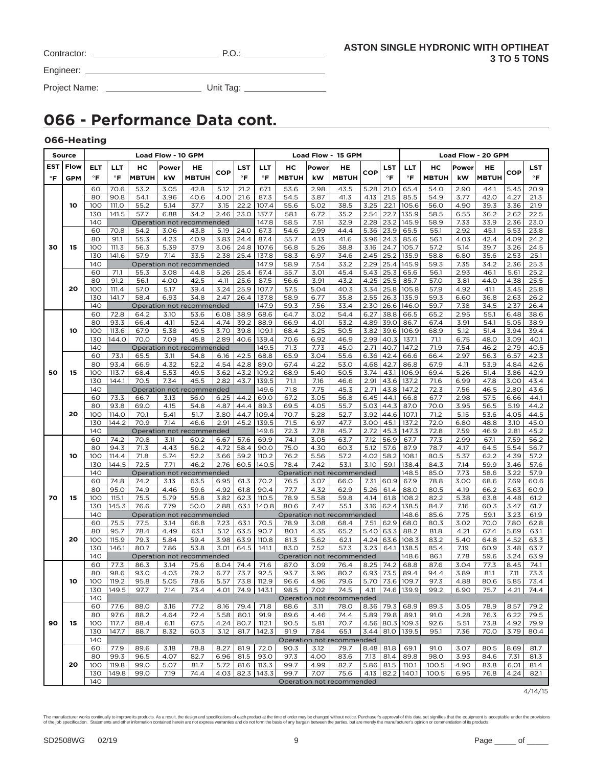| Contractor: |  |
|-------------|--|
|             |  |

 $P.O.:$ 

Engineer:

Project Name: Unit Tag:

# **066 - Performance Data cont.**

### **066-Heating**

|                                   | <b>Source</b> |            |                |              | Load Flow - 10 GPM |                           |              |              |                     |              |              | Load Flow - 15 GPM                                                                                                                                                                                                                                                                                                                                                                                                                                                                                                                                                                                                                                                                                                                                                                                                                                                                                                                                                                                                                                                                                                                                                                                                                                                                                                                                                                                                                                                                                                                                                                                                                                                                                                                                                                                                                                                                                                                                                                                                                                                                                                                                                                                                                                                                                                                                                                                                                                                                                                                                                                                                                                                                                                                                                                                                                                                                                                                                                                                                                                                                        |      |      |                                                                                                                                                                                                                                                                                                                                                                                                              |      |              |              |
|-----------------------------------|---------------|------------|----------------|--------------|--------------------|---------------------------|--------------|--------------|---------------------|--------------|--------------|-------------------------------------------------------------------------------------------------------------------------------------------------------------------------------------------------------------------------------------------------------------------------------------------------------------------------------------------------------------------------------------------------------------------------------------------------------------------------------------------------------------------------------------------------------------------------------------------------------------------------------------------------------------------------------------------------------------------------------------------------------------------------------------------------------------------------------------------------------------------------------------------------------------------------------------------------------------------------------------------------------------------------------------------------------------------------------------------------------------------------------------------------------------------------------------------------------------------------------------------------------------------------------------------------------------------------------------------------------------------------------------------------------------------------------------------------------------------------------------------------------------------------------------------------------------------------------------------------------------------------------------------------------------------------------------------------------------------------------------------------------------------------------------------------------------------------------------------------------------------------------------------------------------------------------------------------------------------------------------------------------------------------------------------------------------------------------------------------------------------------------------------------------------------------------------------------------------------------------------------------------------------------------------------------------------------------------------------------------------------------------------------------------------------------------------------------------------------------------------------------------------------------------------------------------------------------------------------------------------------------------------------------------------------------------------------------------------------------------------------------------------------------------------------------------------------------------------------------------------------------------------------------------------------------------------------------------------------------------------------------------------------------------------------------------------------------------------------|------|------|--------------------------------------------------------------------------------------------------------------------------------------------------------------------------------------------------------------------------------------------------------------------------------------------------------------------------------------------------------------------------------------------------------------|------|--------------|--------------|
| EST                               | Flow          | ELT        | LLT            | нc           | Power              | HE                        |              | LST          | <b>LLT</b>          | нс           | Power        |                                                                                                                                                                                                                                                                                                                                                                                                                                                                                                                                                                                                                                                                                                                                                                                                                                                                                                                                                                                                                                                                                                                                                                                                                                                                                                                                                                                                                                                                                                                                                                                                                                                                                                                                                                                                                                                                                                                                                                                                                                                                                                                                                                                                                                                                                                                                                                                                                                                                                                                                                                                                                                                                                                                                                                                                                                                                                                                                                                                                                                                                                           |      |      |                                                                                                                                                                                                                                                                                                                                                                                                              | HE   |              | LST          |
|                                   | <b>GPM</b>    | $\circ$ F  | $\circ$ F      | <b>MBTUH</b> | kW                 | <b>MBTUH</b>              | COP          | $\circ$ F    | $\mathsf{P}$        | <b>MBTUH</b> | kW           |                                                                                                                                                                                                                                                                                                                                                                                                                                                                                                                                                                                                                                                                                                                                                                                                                                                                                                                                                                                                                                                                                                                                                                                                                                                                                                                                                                                                                                                                                                                                                                                                                                                                                                                                                                                                                                                                                                                                                                                                                                                                                                                                                                                                                                                                                                                                                                                                                                                                                                                                                                                                                                                                                                                                                                                                                                                                                                                                                                                                                                                                                           |      |      |                                                                                                                                                                                                                                                                                                                                                                                                              |      | COP          | $\circ$ F    |
|                                   |               | 60         | 70.6           |              | 3.05               | 42.8                      | 5.12         |              | 67.1                |              | 2.98         |                                                                                                                                                                                                                                                                                                                                                                                                                                                                                                                                                                                                                                                                                                                                                                                                                                                                                                                                                                                                                                                                                                                                                                                                                                                                                                                                                                                                                                                                                                                                                                                                                                                                                                                                                                                                                                                                                                                                                                                                                                                                                                                                                                                                                                                                                                                                                                                                                                                                                                                                                                                                                                                                                                                                                                                                                                                                                                                                                                                                                                                                                           |      |      |                                                                                                                                                                                                                                                                                                                                                                                                              |      | 5.45         |              |
|                                   |               | 80         | 90.8           | 53.2<br>54.1 | 3.96               | 40.6                      | 4.00         | 21.2<br>21.6 | 87.3                | 53.6<br>54.5 | 3.87         |                                                                                                                                                                                                                                                                                                                                                                                                                                                                                                                                                                                                                                                                                                                                                                                                                                                                                                                                                                                                                                                                                                                                                                                                                                                                                                                                                                                                                                                                                                                                                                                                                                                                                                                                                                                                                                                                                                                                                                                                                                                                                                                                                                                                                                                                                                                                                                                                                                                                                                                                                                                                                                                                                                                                                                                                                                                                                                                                                                                                                                                                                           |      |      |                                                                                                                                                                                                                                                                                                                                                                                                              |      | 4.27         | 20.9<br>21.3 |
| $\circ$ F<br>30<br>50<br>70<br>90 | 10            | 100        | 111.O          | 55.2         | 5.14               | 37.7                      | 3.15         | 22.2         | 107.4               | 55.6         | 5.02         |                                                                                                                                                                                                                                                                                                                                                                                                                                                                                                                                                                                                                                                                                                                                                                                                                                                                                                                                                                                                                                                                                                                                                                                                                                                                                                                                                                                                                                                                                                                                                                                                                                                                                                                                                                                                                                                                                                                                                                                                                                                                                                                                                                                                                                                                                                                                                                                                                                                                                                                                                                                                                                                                                                                                                                                                                                                                                                                                                                                                                                                                                           |      |      |                                                                                                                                                                                                                                                                                                                                                                                                              |      | 3.36         | 21.9         |
|                                   |               | 130        | 141.5          | 57.7         | 6.88               | 34.2                      | 2.46         | 23.0         | 137.7               | 58.1         | 6.72         |                                                                                                                                                                                                                                                                                                                                                                                                                                                                                                                                                                                                                                                                                                                                                                                                                                                                                                                                                                                                                                                                                                                                                                                                                                                                                                                                                                                                                                                                                                                                                                                                                                                                                                                                                                                                                                                                                                                                                                                                                                                                                                                                                                                                                                                                                                                                                                                                                                                                                                                                                                                                                                                                                                                                                                                                                                                                                                                                                                                                                                                                                           |      |      |                                                                                                                                                                                                                                                                                                                                                                                                              |      | 2.62         | 22.5         |
|                                   |               | 140        |                |              |                    | Operation not recommended |              |              | 147.8               | 58.5         | 7.51         |                                                                                                                                                                                                                                                                                                                                                                                                                                                                                                                                                                                                                                                                                                                                                                                                                                                                                                                                                                                                                                                                                                                                                                                                                                                                                                                                                                                                                                                                                                                                                                                                                                                                                                                                                                                                                                                                                                                                                                                                                                                                                                                                                                                                                                                                                                                                                                                                                                                                                                                                                                                                                                                                                                                                                                                                                                                                                                                                                                                                                                                                                           |      |      |                                                                                                                                                                                                                                                                                                                                                                                                              |      | 2.36         | 23.0         |
|                                   |               | 60         | 70.8           | 54.2         | 3.06               | 43.8                      | 5.19         | 24.0         | 67.3                | 54.6         | 2.99         | Load Flow - 20 GPM<br>нc<br>Power<br>HE<br>LST<br>LLT<br>COP<br>$\circ$ F<br><b>MBTUH</b><br>°F<br><b>MBTUH</b><br>kW<br>5.28<br>43.5<br>21.0<br>65.4<br>54.0<br>2.90<br>41.3<br>4.13<br>85.5<br>54.9<br>3.77<br>21.5<br>38.5<br>3.25<br>22.1<br>105.6<br>4.90<br>56.0<br>35.2<br>2.54<br>22.7<br>135.9<br>58.5<br>6.55<br>2.28<br>32.9<br>23.2<br>145.9<br>58.9<br>7.33<br>44.4<br>5.36<br>23.9<br>65.5<br>2.92<br>55.1<br>41.6<br>3.96<br>85.6<br>24.3<br>56.1<br>4.03<br>3.16<br>105.7<br>38.8<br>24.7<br>57.2<br>5.14<br>2.45<br>25.2<br>135.9<br>58.8<br>34.6<br>6.80<br>33.2<br>2.29<br>25.4<br>145.9<br>59.3<br>7.35<br>5.43<br>25.3<br>65.6<br>2.93<br>45.4<br>56.1<br>43.2<br>4.25<br>25.5<br>85.7<br>57.0<br>3.81<br>3.34<br>40.3<br>25.8<br>105.8<br>57.9<br>4.92<br>35.8<br>2.55<br>26.3<br>135.9<br>59.3<br>6.60<br>33.4<br>2.30<br>26.6<br>146.0<br>59.7<br>7.38<br>38.8<br>66.5<br>65.2<br>54.4<br>6.27<br>2.95<br>53.2<br>4.89<br>39.0<br>86.7<br>3.91<br>67.4<br>50.5<br>3.82<br>39.6<br>106.9<br>68.9<br>5.12<br>46.9<br>2.99<br>40.3<br>137.1<br>6.75<br>71.1<br>45.0<br>2.71<br>40.7<br>71.9<br>7.54<br>147.2<br>2.97<br>55.6<br>6.36<br>42.4<br>66.6<br>66.4<br>53.0<br>4.68<br>42.7<br>86.8<br>67.9<br>4.11<br>3.74<br>43.1<br>106.9<br>50.5<br>69.4<br>5.26<br>2.91<br>43.6<br>137.2<br>46.6<br>71.6<br>6.99<br>45.3<br>2.71<br>43.8<br>147.2<br>72.3<br>7.56<br>56.8<br>44.1<br>67.7<br>2.98<br>6.45<br>66.8<br>55.7<br>5.03<br>44.3<br>87.0<br>70.0<br>3.95<br>3.92<br>52.7<br>44.6<br>107.1<br>71.2<br>5.15<br>3.00<br>72.0<br>47.7<br>45.1<br>137.2<br>6.80<br>45.3<br>147.3<br>72.8<br>45.7<br>2.72<br>7.59<br>7.12<br>56.9<br>67.7<br>77.3<br>2.99<br>63.7<br>57.6<br>87.9<br>78.7<br>60.3<br>5.12<br>4.17<br>4.02<br>58.2<br>108.1<br>80.5<br>5.37<br>57.2<br>53.1<br>3.10<br>59.1<br>138.4<br>84.3<br>7.14<br>148.5<br>85.0<br>7.73<br>Operation not recommended<br>66.0<br>7.31<br>60.9<br>67.9<br>78.8<br>3.00<br>62.9<br>5.26<br>88.0<br>80.5<br>4.19<br>61.4<br>108.2<br>82.2<br>5.38<br>59.8<br>4.14<br>61.8<br>55.1<br>3.16<br>62.4<br>138.5<br>84.7<br>7.16<br>148.6<br>7.75<br>Operation not recommended<br>85.6<br>62.9<br>68.0<br>3.02<br>68.4<br>7.51<br>80.3<br>65.2<br>5.40<br>63.3<br>88.2<br>81.8<br>4.21<br>4.24<br>63.6<br>108.3<br>83.2<br>5.40<br>62.1<br>3.23<br>57.3<br>64.1<br>138.5<br>85.4<br>7.19<br>148.6<br>7.78<br>Operation not recommended<br>86.1<br>76.4<br>8.25<br>74.2<br>68.8<br>3.04<br>87.6<br>80.2<br>6.93<br>73.5<br>89.4<br>3.89<br>94.4<br>79.6<br>5.70 73.6<br>109.7<br>97.3<br>4.88<br>4.11   74.6   139.9  <br>99.2<br>74.5<br>6.90<br>Operation not recommended<br>$8.36$ 79.3<br>68.9<br>89.3<br>78.0<br>3.05<br>$5.89$ 79.8<br>89.1<br>91.0<br>4.28<br>74.4<br>70.7<br>4.56 80.3 109.3<br>5.51<br>92.6<br>65.1<br>$3.44$   81.0   139.5<br>95.1<br>7.36<br>Operation not recommended<br>$8.48$ 81.8<br>69.1<br>91.O<br>3.07<br>79.7<br>83.6<br>7.13<br>81.4<br>89.8<br>98.0<br>3.93<br>5.86 81.5<br>110.1<br>82.7<br>100.5<br>4.90<br>4.13 82.2 140.1<br>75.6<br>100.5<br>6.95<br>Operation not recommended | 45.1 | 5.53 | 23.8                                                                                                                                                                                                                                                                                                                                                                                                         |      |              |              |
|                                   |               | 80         | 91.1           | 55.3         | 4.23               | 40.9                      | 3.83         | 24.4         | 87.4                | 55.7         | 4.13         |                                                                                                                                                                                                                                                                                                                                                                                                                                                                                                                                                                                                                                                                                                                                                                                                                                                                                                                                                                                                                                                                                                                                                                                                                                                                                                                                                                                                                                                                                                                                                                                                                                                                                                                                                                                                                                                                                                                                                                                                                                                                                                                                                                                                                                                                                                                                                                                                                                                                                                                                                                                                                                                                                                                                                                                                                                                                                                                                                                                                                                                                                           |      |      |                                                                                                                                                                                                                                                                                                                                                                                                              | 42.4 | 4.09         | 24.2         |
|                                   | 15            | 100        | 111.3          | 56.3         | 5.39               | 37.9                      | 3.06         | 24.8         | 107.6               | 56.8         | 5.26         |                                                                                                                                                                                                                                                                                                                                                                                                                                                                                                                                                                                                                                                                                                                                                                                                                                                                                                                                                                                                                                                                                                                                                                                                                                                                                                                                                                                                                                                                                                                                                                                                                                                                                                                                                                                                                                                                                                                                                                                                                                                                                                                                                                                                                                                                                                                                                                                                                                                                                                                                                                                                                                                                                                                                                                                                                                                                                                                                                                                                                                                                                           |      |      |                                                                                                                                                                                                                                                                                                                                                                                                              | 39.7 | 3.26         | 24.5         |
|                                   |               | 130        | 141.6          | 57.9         | 7.14               | 33.5                      | 2.38         | 25.4         | 137.8               | 58.3         | 6.97         |                                                                                                                                                                                                                                                                                                                                                                                                                                                                                                                                                                                                                                                                                                                                                                                                                                                                                                                                                                                                                                                                                                                                                                                                                                                                                                                                                                                                                                                                                                                                                                                                                                                                                                                                                                                                                                                                                                                                                                                                                                                                                                                                                                                                                                                                                                                                                                                                                                                                                                                                                                                                                                                                                                                                                                                                                                                                                                                                                                                                                                                                                           |      |      |                                                                                                                                                                                                                                                                                                                                                                                                              | 35.6 | 2.53         | 25.1         |
|                                   |               | 140        |                |              |                    | Operation not recommended |              |              | 147.9               | 58.9         | 7.54         |                                                                                                                                                                                                                                                                                                                                                                                                                                                                                                                                                                                                                                                                                                                                                                                                                                                                                                                                                                                                                                                                                                                                                                                                                                                                                                                                                                                                                                                                                                                                                                                                                                                                                                                                                                                                                                                                                                                                                                                                                                                                                                                                                                                                                                                                                                                                                                                                                                                                                                                                                                                                                                                                                                                                                                                                                                                                                                                                                                                                                                                                                           |      |      |                                                                                                                                                                                                                                                                                                                                                                                                              | 34.2 | 2.36         | 25.3         |
|                                   |               | 60         | 71.1           | 55.3         | 3.08               | 44.8                      | 5.26         | 25.4         | 67.4                | 55.7         | 3.01         |                                                                                                                                                                                                                                                                                                                                                                                                                                                                                                                                                                                                                                                                                                                                                                                                                                                                                                                                                                                                                                                                                                                                                                                                                                                                                                                                                                                                                                                                                                                                                                                                                                                                                                                                                                                                                                                                                                                                                                                                                                                                                                                                                                                                                                                                                                                                                                                                                                                                                                                                                                                                                                                                                                                                                                                                                                                                                                                                                                                                                                                                                           |      |      |                                                                                                                                                                                                                                                                                                                                                                                                              | 46.1 | 5.61         | 25.2         |
|                                   |               | 80         | 91.2           | 56.1         | 4.00               | 42.5                      | 4.11         | 25.6         | 87.5                | 56.6         | 3.91         |                                                                                                                                                                                                                                                                                                                                                                                                                                                                                                                                                                                                                                                                                                                                                                                                                                                                                                                                                                                                                                                                                                                                                                                                                                                                                                                                                                                                                                                                                                                                                                                                                                                                                                                                                                                                                                                                                                                                                                                                                                                                                                                                                                                                                                                                                                                                                                                                                                                                                                                                                                                                                                                                                                                                                                                                                                                                                                                                                                                                                                                                                           |      |      |                                                                                                                                                                                                                                                                                                                                                                                                              |      | 4.38         | 25.5         |
|                                   | 20            | 100        | 111.4          | 57.0         | 5.17               | 39.4                      | 3.24         | 25.9         | 107.7               | 57.5         | 5.04         |                                                                                                                                                                                                                                                                                                                                                                                                                                                                                                                                                                                                                                                                                                                                                                                                                                                                                                                                                                                                                                                                                                                                                                                                                                                                                                                                                                                                                                                                                                                                                                                                                                                                                                                                                                                                                                                                                                                                                                                                                                                                                                                                                                                                                                                                                                                                                                                                                                                                                                                                                                                                                                                                                                                                                                                                                                                                                                                                                                                                                                                                                           |      |      |                                                                                                                                                                                                                                                                                                                                                                                                              |      | 3.45         | 25.8         |
|                                   |               | 130        | 141.7          | 58.4         | 6.93               | 34.8                      | 2.47         | 26.4         | 137.8               | 58.9         | 6.77         |                                                                                                                                                                                                                                                                                                                                                                                                                                                                                                                                                                                                                                                                                                                                                                                                                                                                                                                                                                                                                                                                                                                                                                                                                                                                                                                                                                                                                                                                                                                                                                                                                                                                                                                                                                                                                                                                                                                                                                                                                                                                                                                                                                                                                                                                                                                                                                                                                                                                                                                                                                                                                                                                                                                                                                                                                                                                                                                                                                                                                                                                                           |      |      |                                                                                                                                                                                                                                                                                                                                                                                                              |      | 2.63         | 26.2         |
|                                   |               | 140        |                |              |                    | Operation not recommended |              |              | 147.9               | 59.3         | 7.56         |                                                                                                                                                                                                                                                                                                                                                                                                                                                                                                                                                                                                                                                                                                                                                                                                                                                                                                                                                                                                                                                                                                                                                                                                                                                                                                                                                                                                                                                                                                                                                                                                                                                                                                                                                                                                                                                                                                                                                                                                                                                                                                                                                                                                                                                                                                                                                                                                                                                                                                                                                                                                                                                                                                                                                                                                                                                                                                                                                                                                                                                                                           |      |      |                                                                                                                                                                                                                                                                                                                                                                                                              |      | 2.37         | 26.4         |
|                                   |               | 60         | 72.8           | 64.2         | 3.10               | 53.6                      | 6.08         | 38.9         | 68.6                | 64.7         | 3.02         |                                                                                                                                                                                                                                                                                                                                                                                                                                                                                                                                                                                                                                                                                                                                                                                                                                                                                                                                                                                                                                                                                                                                                                                                                                                                                                                                                                                                                                                                                                                                                                                                                                                                                                                                                                                                                                                                                                                                                                                                                                                                                                                                                                                                                                                                                                                                                                                                                                                                                                                                                                                                                                                                                                                                                                                                                                                                                                                                                                                                                                                                                           |      |      |                                                                                                                                                                                                                                                                                                                                                                                                              |      | 6.48         | 38.6         |
|                                   |               | 80         | 93.3           | 66.4         | 4.11               | 52.4                      | 4.74         | 39.2         | 88.9                | 66.9         | 4.01         |                                                                                                                                                                                                                                                                                                                                                                                                                                                                                                                                                                                                                                                                                                                                                                                                                                                                                                                                                                                                                                                                                                                                                                                                                                                                                                                                                                                                                                                                                                                                                                                                                                                                                                                                                                                                                                                                                                                                                                                                                                                                                                                                                                                                                                                                                                                                                                                                                                                                                                                                                                                                                                                                                                                                                                                                                                                                                                                                                                                                                                                                                           |      |      |                                                                                                                                                                                                                                                                                                                                                                                                              |      | 5.05         | 38.9         |
|                                   | 10            | 100        | 113.6<br>144.0 | 67.9<br>70.0 | 5.38<br>7.09       | 49.5<br>45.8              | 3.70<br>2.89 | 39.8<br>40.6 | 109.1               | 68.4         | 5.25         |                                                                                                                                                                                                                                                                                                                                                                                                                                                                                                                                                                                                                                                                                                                                                                                                                                                                                                                                                                                                                                                                                                                                                                                                                                                                                                                                                                                                                                                                                                                                                                                                                                                                                                                                                                                                                                                                                                                                                                                                                                                                                                                                                                                                                                                                                                                                                                                                                                                                                                                                                                                                                                                                                                                                                                                                                                                                                                                                                                                                                                                                                           |      |      |                                                                                                                                                                                                                                                                                                                                                                                                              |      | 3.94<br>3.09 | 39.4<br>40.1 |
|                                   |               | 130<br>140 |                |              |                    | Operation not recommended |              |              | 139.4<br>149.5      | 70.6<br>71.3 | 6.92<br>7.73 |                                                                                                                                                                                                                                                                                                                                                                                                                                                                                                                                                                                                                                                                                                                                                                                                                                                                                                                                                                                                                                                                                                                                                                                                                                                                                                                                                                                                                                                                                                                                                                                                                                                                                                                                                                                                                                                                                                                                                                                                                                                                                                                                                                                                                                                                                                                                                                                                                                                                                                                                                                                                                                                                                                                                                                                                                                                                                                                                                                                                                                                                                           |      |      |                                                                                                                                                                                                                                                                                                                                                                                                              |      | 2.79         | 40.5         |
|                                   |               | 60         | 73.1           | 65.5         | 3.11               | 54.8                      | 6.16         | 42.5         | 68.8                | 65.9         | 3.04         |                                                                                                                                                                                                                                                                                                                                                                                                                                                                                                                                                                                                                                                                                                                                                                                                                                                                                                                                                                                                                                                                                                                                                                                                                                                                                                                                                                                                                                                                                                                                                                                                                                                                                                                                                                                                                                                                                                                                                                                                                                                                                                                                                                                                                                                                                                                                                                                                                                                                                                                                                                                                                                                                                                                                                                                                                                                                                                                                                                                                                                                                                           |      |      |                                                                                                                                                                                                                                                                                                                                                                                                              |      | 6.57         | 42.3         |
|                                   |               | 80         | 93.4           | 66.9         | 4.32               | 52.2                      | 4.54         | 42.8         | 89.0                | 67.4         | 4.22         |                                                                                                                                                                                                                                                                                                                                                                                                                                                                                                                                                                                                                                                                                                                                                                                                                                                                                                                                                                                                                                                                                                                                                                                                                                                                                                                                                                                                                                                                                                                                                                                                                                                                                                                                                                                                                                                                                                                                                                                                                                                                                                                                                                                                                                                                                                                                                                                                                                                                                                                                                                                                                                                                                                                                                                                                                                                                                                                                                                                                                                                                                           |      |      |                                                                                                                                                                                                                                                                                                                                                                                                              |      | 4.84         | 42.6         |
|                                   | 15            | 100        | 113.7          | 68.4         | 5.53               | 49.5                      | 3.62         | 43.2         | 109.2               | 68.9         | 5.40         |                                                                                                                                                                                                                                                                                                                                                                                                                                                                                                                                                                                                                                                                                                                                                                                                                                                                                                                                                                                                                                                                                                                                                                                                                                                                                                                                                                                                                                                                                                                                                                                                                                                                                                                                                                                                                                                                                                                                                                                                                                                                                                                                                                                                                                                                                                                                                                                                                                                                                                                                                                                                                                                                                                                                                                                                                                                                                                                                                                                                                                                                                           |      |      |                                                                                                                                                                                                                                                                                                                                                                                                              |      | 3.86         | 42.9         |
|                                   |               | 130        | 144.1          | 70.5         | 7.34               | 45.5                      | 2.82         | 43.7         | 139.5               | 71.1         | 7.16         |                                                                                                                                                                                                                                                                                                                                                                                                                                                                                                                                                                                                                                                                                                                                                                                                                                                                                                                                                                                                                                                                                                                                                                                                                                                                                                                                                                                                                                                                                                                                                                                                                                                                                                                                                                                                                                                                                                                                                                                                                                                                                                                                                                                                                                                                                                                                                                                                                                                                                                                                                                                                                                                                                                                                                                                                                                                                                                                                                                                                                                                                                           |      |      |                                                                                                                                                                                                                                                                                                                                                                                                              |      | 3.00         | 43.4         |
|                                   |               | 140        |                |              |                    | Operation not recommended |              |              | 149.6               | 71.8         | 7.75         |                                                                                                                                                                                                                                                                                                                                                                                                                                                                                                                                                                                                                                                                                                                                                                                                                                                                                                                                                                                                                                                                                                                                                                                                                                                                                                                                                                                                                                                                                                                                                                                                                                                                                                                                                                                                                                                                                                                                                                                                                                                                                                                                                                                                                                                                                                                                                                                                                                                                                                                                                                                                                                                                                                                                                                                                                                                                                                                                                                                                                                                                                           |      |      |                                                                                                                                                                                                                                                                                                                                                                                                              |      | 2.80         | 43.6         |
|                                   |               | 60         | 73.3           | 66.7         | 3.13               | 56.0                      | 6.25         | 44.2         | 69.0                | 67.2         | 3.05         |                                                                                                                                                                                                                                                                                                                                                                                                                                                                                                                                                                                                                                                                                                                                                                                                                                                                                                                                                                                                                                                                                                                                                                                                                                                                                                                                                                                                                                                                                                                                                                                                                                                                                                                                                                                                                                                                                                                                                                                                                                                                                                                                                                                                                                                                                                                                                                                                                                                                                                                                                                                                                                                                                                                                                                                                                                                                                                                                                                                                                                                                                           |      |      |                                                                                                                                                                                                                                                                                                                                                                                                              | 57.5 | 6.66         | 44.1         |
|                                   |               | 80         | 93.8           | 69.0         | 4.15               | 54.8                      | 4.87         | 44.4         | 89.3                | 69.5         | 4.05         |                                                                                                                                                                                                                                                                                                                                                                                                                                                                                                                                                                                                                                                                                                                                                                                                                                                                                                                                                                                                                                                                                                                                                                                                                                                                                                                                                                                                                                                                                                                                                                                                                                                                                                                                                                                                                                                                                                                                                                                                                                                                                                                                                                                                                                                                                                                                                                                                                                                                                                                                                                                                                                                                                                                                                                                                                                                                                                                                                                                                                                                                                           |      |      |                                                                                                                                                                                                                                                                                                                                                                                                              | 56.5 | 5.19         | 44.2         |
|                                   | 20            | 100        | 114.0          | 70.1         | 5.41               | 51.7                      | 3.80         | 44.7         | 109.4               | 70.7         | 5.28         |                                                                                                                                                                                                                                                                                                                                                                                                                                                                                                                                                                                                                                                                                                                                                                                                                                                                                                                                                                                                                                                                                                                                                                                                                                                                                                                                                                                                                                                                                                                                                                                                                                                                                                                                                                                                                                                                                                                                                                                                                                                                                                                                                                                                                                                                                                                                                                                                                                                                                                                                                                                                                                                                                                                                                                                                                                                                                                                                                                                                                                                                                           |      |      |                                                                                                                                                                                                                                                                                                                                                                                                              | 53.6 | 4.05         | 44.5         |
|                                   |               | 130        | 144.2          | 70.9         | 7.14               | 46.6                      | 2.91         | 45.2         | 139.5               | 71.5         | 6.97         |                                                                                                                                                                                                                                                                                                                                                                                                                                                                                                                                                                                                                                                                                                                                                                                                                                                                                                                                                                                                                                                                                                                                                                                                                                                                                                                                                                                                                                                                                                                                                                                                                                                                                                                                                                                                                                                                                                                                                                                                                                                                                                                                                                                                                                                                                                                                                                                                                                                                                                                                                                                                                                                                                                                                                                                                                                                                                                                                                                                                                                                                                           |      |      | <b>MBTUH</b><br>44.1<br>42.0<br>39.3<br>36.2<br>33.9<br>44.0<br>41.1<br>36.8<br>34.5<br>55.1<br>54.1<br>51.4<br>48.0<br>46.2<br>56.3<br>53.9<br>51.4<br>47.8<br>46.5<br>48.8<br>46.9<br>67.1<br>64.5<br>62.2<br>59.9<br>58.6<br>68.6<br>66.2<br>63.8<br>60.3<br>59.1<br>70.0<br>67.4<br>64.8<br>60.9<br>59.6<br>77.3<br>81.1<br>80.6<br>75.7<br>78.9<br>76.3<br>73.8<br>70.0<br>80.5<br>84.6<br>83.8<br>76.8 | 3.10 | 45.0         |              |
|                                   |               | 140        |                |              |                    | Operation not recommended |              |              | 149.6               | 72.3         | 7.78         |                                                                                                                                                                                                                                                                                                                                                                                                                                                                                                                                                                                                                                                                                                                                                                                                                                                                                                                                                                                                                                                                                                                                                                                                                                                                                                                                                                                                                                                                                                                                                                                                                                                                                                                                                                                                                                                                                                                                                                                                                                                                                                                                                                                                                                                                                                                                                                                                                                                                                                                                                                                                                                                                                                                                                                                                                                                                                                                                                                                                                                                                                           |      |      |                                                                                                                                                                                                                                                                                                                                                                                                              |      | 2.81         | 45.2         |
|                                   |               | 60         | 74.2           | 70.8         | 3.11               | 60.2                      | 6.67         | 57.6         | 69.9                | 74.1         | 3.05         |                                                                                                                                                                                                                                                                                                                                                                                                                                                                                                                                                                                                                                                                                                                                                                                                                                                                                                                                                                                                                                                                                                                                                                                                                                                                                                                                                                                                                                                                                                                                                                                                                                                                                                                                                                                                                                                                                                                                                                                                                                                                                                                                                                                                                                                                                                                                                                                                                                                                                                                                                                                                                                                                                                                                                                                                                                                                                                                                                                                                                                                                                           |      |      |                                                                                                                                                                                                                                                                                                                                                                                                              |      | 7.59         | 56.2         |
|                                   |               | 80         | 94.3           | 71.3         | 4.43               | 56.2                      | 4.72         | 58.4         | 90.0                | 75.0         | 4.30         |                                                                                                                                                                                                                                                                                                                                                                                                                                                                                                                                                                                                                                                                                                                                                                                                                                                                                                                                                                                                                                                                                                                                                                                                                                                                                                                                                                                                                                                                                                                                                                                                                                                                                                                                                                                                                                                                                                                                                                                                                                                                                                                                                                                                                                                                                                                                                                                                                                                                                                                                                                                                                                                                                                                                                                                                                                                                                                                                                                                                                                                                                           |      |      |                                                                                                                                                                                                                                                                                                                                                                                                              |      | 5.54         | 56.7         |
|                                   | 10            | 100<br>130 | 114.4<br>144.5 | 71.8<br>72.5 | 5.74<br>7.71       | 52.2<br>46.2              | 3.66<br>2.76 | 59.2<br>60.5 | 110.2<br>140.5      | 76.2<br>78.4 | 5.56<br>7.42 |                                                                                                                                                                                                                                                                                                                                                                                                                                                                                                                                                                                                                                                                                                                                                                                                                                                                                                                                                                                                                                                                                                                                                                                                                                                                                                                                                                                                                                                                                                                                                                                                                                                                                                                                                                                                                                                                                                                                                                                                                                                                                                                                                                                                                                                                                                                                                                                                                                                                                                                                                                                                                                                                                                                                                                                                                                                                                                                                                                                                                                                                                           |      |      |                                                                                                                                                                                                                                                                                                                                                                                                              |      | 4.39         | 57.2<br>57.6 |
|                                   |               | 140        |                |              |                    | Operation not recommended |              |              |                     |              |              |                                                                                                                                                                                                                                                                                                                                                                                                                                                                                                                                                                                                                                                                                                                                                                                                                                                                                                                                                                                                                                                                                                                                                                                                                                                                                                                                                                                                                                                                                                                                                                                                                                                                                                                                                                                                                                                                                                                                                                                                                                                                                                                                                                                                                                                                                                                                                                                                                                                                                                                                                                                                                                                                                                                                                                                                                                                                                                                                                                                                                                                                                           |      |      |                                                                                                                                                                                                                                                                                                                                                                                                              |      | 3.46<br>3.22 | 57.9         |
|                                   |               | 60         | 74.8           | 74.2         | 3.13               | 63.5                      | 6.95         | 61.3         | 70.2                | 76.5         | 3.07         |                                                                                                                                                                                                                                                                                                                                                                                                                                                                                                                                                                                                                                                                                                                                                                                                                                                                                                                                                                                                                                                                                                                                                                                                                                                                                                                                                                                                                                                                                                                                                                                                                                                                                                                                                                                                                                                                                                                                                                                                                                                                                                                                                                                                                                                                                                                                                                                                                                                                                                                                                                                                                                                                                                                                                                                                                                                                                                                                                                                                                                                                                           |      |      |                                                                                                                                                                                                                                                                                                                                                                                                              |      | 7.69         | 60.6         |
|                                   |               | 80         | 95.0           | 74.9         | 4.46               | 59.6                      | 4.92         | 61.8         | 90.4                | 77.7         | 4.32         |                                                                                                                                                                                                                                                                                                                                                                                                                                                                                                                                                                                                                                                                                                                                                                                                                                                                                                                                                                                                                                                                                                                                                                                                                                                                                                                                                                                                                                                                                                                                                                                                                                                                                                                                                                                                                                                                                                                                                                                                                                                                                                                                                                                                                                                                                                                                                                                                                                                                                                                                                                                                                                                                                                                                                                                                                                                                                                                                                                                                                                                                                           |      |      |                                                                                                                                                                                                                                                                                                                                                                                                              |      | 5.63         | 60.9         |
|                                   | 15            | 100        | 115.1          | 75.5         | 5.79               | 55.8                      | 3.82         | 62.3         | 110.5               | 78.9         | 5.58         |                                                                                                                                                                                                                                                                                                                                                                                                                                                                                                                                                                                                                                                                                                                                                                                                                                                                                                                                                                                                                                                                                                                                                                                                                                                                                                                                                                                                                                                                                                                                                                                                                                                                                                                                                                                                                                                                                                                                                                                                                                                                                                                                                                                                                                                                                                                                                                                                                                                                                                                                                                                                                                                                                                                                                                                                                                                                                                                                                                                                                                                                                           |      |      |                                                                                                                                                                                                                                                                                                                                                                                                              |      | 4.48         | 61.2         |
|                                   |               | 130        | 145.3          | 76.6         | 7.79               | 50.0                      | 2.88         | 63.1         | 140.8               | 80.6         | 7.47         |                                                                                                                                                                                                                                                                                                                                                                                                                                                                                                                                                                                                                                                                                                                                                                                                                                                                                                                                                                                                                                                                                                                                                                                                                                                                                                                                                                                                                                                                                                                                                                                                                                                                                                                                                                                                                                                                                                                                                                                                                                                                                                                                                                                                                                                                                                                                                                                                                                                                                                                                                                                                                                                                                                                                                                                                                                                                                                                                                                                                                                                                                           |      |      |                                                                                                                                                                                                                                                                                                                                                                                                              |      | 3.47         | 61.7         |
|                                   |               | 140        |                |              |                    | Operation not recommended |              |              |                     |              |              |                                                                                                                                                                                                                                                                                                                                                                                                                                                                                                                                                                                                                                                                                                                                                                                                                                                                                                                                                                                                                                                                                                                                                                                                                                                                                                                                                                                                                                                                                                                                                                                                                                                                                                                                                                                                                                                                                                                                                                                                                                                                                                                                                                                                                                                                                                                                                                                                                                                                                                                                                                                                                                                                                                                                                                                                                                                                                                                                                                                                                                                                                           |      |      |                                                                                                                                                                                                                                                                                                                                                                                                              |      | 3.23         | 61.9         |
|                                   |               | 60         | 75.5           | 77.5         | 3.14               | 66.8                      | 7.23         | 63.1         | 70.5                | 78.9         | 3.08         |                                                                                                                                                                                                                                                                                                                                                                                                                                                                                                                                                                                                                                                                                                                                                                                                                                                                                                                                                                                                                                                                                                                                                                                                                                                                                                                                                                                                                                                                                                                                                                                                                                                                                                                                                                                                                                                                                                                                                                                                                                                                                                                                                                                                                                                                                                                                                                                                                                                                                                                                                                                                                                                                                                                                                                                                                                                                                                                                                                                                                                                                                           |      |      |                                                                                                                                                                                                                                                                                                                                                                                                              |      | 7.80         | 62.8         |
|                                   |               | 80         | 95.7           | 78.4         | 4.49               | 63.1                      | 5.12         | 63.5         | 90.7                | 80.1         | 4.35         |                                                                                                                                                                                                                                                                                                                                                                                                                                                                                                                                                                                                                                                                                                                                                                                                                                                                                                                                                                                                                                                                                                                                                                                                                                                                                                                                                                                                                                                                                                                                                                                                                                                                                                                                                                                                                                                                                                                                                                                                                                                                                                                                                                                                                                                                                                                                                                                                                                                                                                                                                                                                                                                                                                                                                                                                                                                                                                                                                                                                                                                                                           |      |      |                                                                                                                                                                                                                                                                                                                                                                                                              |      | 5.69         | 63.1         |
|                                   | 20            | 100        | 115.9          | 79.3         | 5.84               | 59.4                      | 3.98         | 63.9         | 110.8               | 81.3         | 5.62         |                                                                                                                                                                                                                                                                                                                                                                                                                                                                                                                                                                                                                                                                                                                                                                                                                                                                                                                                                                                                                                                                                                                                                                                                                                                                                                                                                                                                                                                                                                                                                                                                                                                                                                                                                                                                                                                                                                                                                                                                                                                                                                                                                                                                                                                                                                                                                                                                                                                                                                                                                                                                                                                                                                                                                                                                                                                                                                                                                                                                                                                                                           |      |      |                                                                                                                                                                                                                                                                                                                                                                                                              |      | 4.52         | 63.3         |
|                                   |               | 130        | 146.1          | 80.7         | 7.86               | 53.8                      | 3.01         | 64.5         | 141.1               | 83.0         | 7.52         |                                                                                                                                                                                                                                                                                                                                                                                                                                                                                                                                                                                                                                                                                                                                                                                                                                                                                                                                                                                                                                                                                                                                                                                                                                                                                                                                                                                                                                                                                                                                                                                                                                                                                                                                                                                                                                                                                                                                                                                                                                                                                                                                                                                                                                                                                                                                                                                                                                                                                                                                                                                                                                                                                                                                                                                                                                                                                                                                                                                                                                                                                           |      |      |                                                                                                                                                                                                                                                                                                                                                                                                              |      | 3.48         | 63.7         |
|                                   |               | 140        |                |              |                    | Operation not recommended |              |              |                     |              |              |                                                                                                                                                                                                                                                                                                                                                                                                                                                                                                                                                                                                                                                                                                                                                                                                                                                                                                                                                                                                                                                                                                                                                                                                                                                                                                                                                                                                                                                                                                                                                                                                                                                                                                                                                                                                                                                                                                                                                                                                                                                                                                                                                                                                                                                                                                                                                                                                                                                                                                                                                                                                                                                                                                                                                                                                                                                                                                                                                                                                                                                                                           |      |      |                                                                                                                                                                                                                                                                                                                                                                                                              |      | 3.24         | 63.9         |
|                                   |               | 60<br>80   | 77.3<br>98.6   | 86.3<br>93.0 | 3.14<br>4.03       | 75.6<br>79.2              | 8.04<br>6.77 | 74.4         | 71.6<br>92.5        | 87.0<br>93.7 | 3.09<br>3.96 |                                                                                                                                                                                                                                                                                                                                                                                                                                                                                                                                                                                                                                                                                                                                                                                                                                                                                                                                                                                                                                                                                                                                                                                                                                                                                                                                                                                                                                                                                                                                                                                                                                                                                                                                                                                                                                                                                                                                                                                                                                                                                                                                                                                                                                                                                                                                                                                                                                                                                                                                                                                                                                                                                                                                                                                                                                                                                                                                                                                                                                                                                           |      |      |                                                                                                                                                                                                                                                                                                                                                                                                              |      | 8.45<br>7.11 | 74.1<br>73.3 |
|                                   | 10            | 100        | 119.2          | 95.8         | 5.05               | 78.6                      | 5.57         | 73.7<br>73.8 | 112.9               | 96.6         | 4.96         |                                                                                                                                                                                                                                                                                                                                                                                                                                                                                                                                                                                                                                                                                                                                                                                                                                                                                                                                                                                                                                                                                                                                                                                                                                                                                                                                                                                                                                                                                                                                                                                                                                                                                                                                                                                                                                                                                                                                                                                                                                                                                                                                                                                                                                                                                                                                                                                                                                                                                                                                                                                                                                                                                                                                                                                                                                                                                                                                                                                                                                                                                           |      |      |                                                                                                                                                                                                                                                                                                                                                                                                              |      | 5.85         | 73.4         |
|                                   |               | 130        | 149.5          | 97.7         | 7.14               | 73.4                      |              |              | 4.01   74.9   143.1 | 98.5         | 7.02         |                                                                                                                                                                                                                                                                                                                                                                                                                                                                                                                                                                                                                                                                                                                                                                                                                                                                                                                                                                                                                                                                                                                                                                                                                                                                                                                                                                                                                                                                                                                                                                                                                                                                                                                                                                                                                                                                                                                                                                                                                                                                                                                                                                                                                                                                                                                                                                                                                                                                                                                                                                                                                                                                                                                                                                                                                                                                                                                                                                                                                                                                                           |      |      |                                                                                                                                                                                                                                                                                                                                                                                                              |      | 4.21         | 74.4         |
|                                   |               | 140        |                |              |                    |                           |              |              |                     |              |              |                                                                                                                                                                                                                                                                                                                                                                                                                                                                                                                                                                                                                                                                                                                                                                                                                                                                                                                                                                                                                                                                                                                                                                                                                                                                                                                                                                                                                                                                                                                                                                                                                                                                                                                                                                                                                                                                                                                                                                                                                                                                                                                                                                                                                                                                                                                                                                                                                                                                                                                                                                                                                                                                                                                                                                                                                                                                                                                                                                                                                                                                                           |      |      |                                                                                                                                                                                                                                                                                                                                                                                                              |      |              |              |
|                                   |               | 60         | 77.6           | 88.0         | 3.16               | 77.2                      | 8.16         | 79.4         | 71.8                | 88.6         | 3.11         |                                                                                                                                                                                                                                                                                                                                                                                                                                                                                                                                                                                                                                                                                                                                                                                                                                                                                                                                                                                                                                                                                                                                                                                                                                                                                                                                                                                                                                                                                                                                                                                                                                                                                                                                                                                                                                                                                                                                                                                                                                                                                                                                                                                                                                                                                                                                                                                                                                                                                                                                                                                                                                                                                                                                                                                                                                                                                                                                                                                                                                                                                           |      |      |                                                                                                                                                                                                                                                                                                                                                                                                              |      | 8.57         | 79.2         |
|                                   |               | 80         | 97.6           | 88.2         | 4.64               | 72.4                      | 5.58         | 80.1         | 91.9                | 89.6         | 4.46         |                                                                                                                                                                                                                                                                                                                                                                                                                                                                                                                                                                                                                                                                                                                                                                                                                                                                                                                                                                                                                                                                                                                                                                                                                                                                                                                                                                                                                                                                                                                                                                                                                                                                                                                                                                                                                                                                                                                                                                                                                                                                                                                                                                                                                                                                                                                                                                                                                                                                                                                                                                                                                                                                                                                                                                                                                                                                                                                                                                                                                                                                                           |      |      |                                                                                                                                                                                                                                                                                                                                                                                                              |      | 6.22         | 79.5         |
|                                   | 15            | 100        | 117.7          | 88.4         | 6.11               | 67.5                      | 4.24         | 80.7         | 112.1               | 90.5         | 5.81         |                                                                                                                                                                                                                                                                                                                                                                                                                                                                                                                                                                                                                                                                                                                                                                                                                                                                                                                                                                                                                                                                                                                                                                                                                                                                                                                                                                                                                                                                                                                                                                                                                                                                                                                                                                                                                                                                                                                                                                                                                                                                                                                                                                                                                                                                                                                                                                                                                                                                                                                                                                                                                                                                                                                                                                                                                                                                                                                                                                                                                                                                                           |      |      |                                                                                                                                                                                                                                                                                                                                                                                                              |      | 4.92         | 79.9         |
|                                   |               | 130        | 147.7          | 88.7         | 8.32               | 60.3                      | 3.12         |              | 81.7 142.3          | 91.9         | 7.84         |                                                                                                                                                                                                                                                                                                                                                                                                                                                                                                                                                                                                                                                                                                                                                                                                                                                                                                                                                                                                                                                                                                                                                                                                                                                                                                                                                                                                                                                                                                                                                                                                                                                                                                                                                                                                                                                                                                                                                                                                                                                                                                                                                                                                                                                                                                                                                                                                                                                                                                                                                                                                                                                                                                                                                                                                                                                                                                                                                                                                                                                                                           |      |      |                                                                                                                                                                                                                                                                                                                                                                                                              |      | 3.79         | 80.4         |
|                                   |               | 140        |                |              |                    |                           |              |              |                     |              |              |                                                                                                                                                                                                                                                                                                                                                                                                                                                                                                                                                                                                                                                                                                                                                                                                                                                                                                                                                                                                                                                                                                                                                                                                                                                                                                                                                                                                                                                                                                                                                                                                                                                                                                                                                                                                                                                                                                                                                                                                                                                                                                                                                                                                                                                                                                                                                                                                                                                                                                                                                                                                                                                                                                                                                                                                                                                                                                                                                                                                                                                                                           |      |      |                                                                                                                                                                                                                                                                                                                                                                                                              |      |              |              |
|                                   |               | 60         | 77.9           | 89.6         | 3.18               | 78.8                      | 8.27         | 81.9         | 72.0                | 90.3         | 3.12         |                                                                                                                                                                                                                                                                                                                                                                                                                                                                                                                                                                                                                                                                                                                                                                                                                                                                                                                                                                                                                                                                                                                                                                                                                                                                                                                                                                                                                                                                                                                                                                                                                                                                                                                                                                                                                                                                                                                                                                                                                                                                                                                                                                                                                                                                                                                                                                                                                                                                                                                                                                                                                                                                                                                                                                                                                                                                                                                                                                                                                                                                                           |      |      |                                                                                                                                                                                                                                                                                                                                                                                                              |      | 8.69         | 81.7         |
|                                   |               | 80         | 99.3           | 96.5         | 4.07               | 82.7                      | 6.96         | 81.5         | 93.0                | 97.3         | 4.00         |                                                                                                                                                                                                                                                                                                                                                                                                                                                                                                                                                                                                                                                                                                                                                                                                                                                                                                                                                                                                                                                                                                                                                                                                                                                                                                                                                                                                                                                                                                                                                                                                                                                                                                                                                                                                                                                                                                                                                                                                                                                                                                                                                                                                                                                                                                                                                                                                                                                                                                                                                                                                                                                                                                                                                                                                                                                                                                                                                                                                                                                                                           |      |      |                                                                                                                                                                                                                                                                                                                                                                                                              |      | 7.31         | 81.3         |
|                                   | 20            | 100        | 119.8          | 99.0         | 5.07               | 81.7                      | 5.72         | 81.6         | 113.3               | 99.7         | 4.99         |                                                                                                                                                                                                                                                                                                                                                                                                                                                                                                                                                                                                                                                                                                                                                                                                                                                                                                                                                                                                                                                                                                                                                                                                                                                                                                                                                                                                                                                                                                                                                                                                                                                                                                                                                                                                                                                                                                                                                                                                                                                                                                                                                                                                                                                                                                                                                                                                                                                                                                                                                                                                                                                                                                                                                                                                                                                                                                                                                                                                                                                                                           |      |      |                                                                                                                                                                                                                                                                                                                                                                                                              |      | 6.01         | 81.4         |
|                                   |               | 130        | 149.8          | 99.0         | 7.19               | 74.4                      |              |              | 4.03 82.3 143.3     | 99.7         | 7.07         |                                                                                                                                                                                                                                                                                                                                                                                                                                                                                                                                                                                                                                                                                                                                                                                                                                                                                                                                                                                                                                                                                                                                                                                                                                                                                                                                                                                                                                                                                                                                                                                                                                                                                                                                                                                                                                                                                                                                                                                                                                                                                                                                                                                                                                                                                                                                                                                                                                                                                                                                                                                                                                                                                                                                                                                                                                                                                                                                                                                                                                                                                           |      |      |                                                                                                                                                                                                                                                                                                                                                                                                              |      | 4.24         | 82.1         |
|                                   |               | 140        |                |              |                    |                           |              |              |                     |              |              |                                                                                                                                                                                                                                                                                                                                                                                                                                                                                                                                                                                                                                                                                                                                                                                                                                                                                                                                                                                                                                                                                                                                                                                                                                                                                                                                                                                                                                                                                                                                                                                                                                                                                                                                                                                                                                                                                                                                                                                                                                                                                                                                                                                                                                                                                                                                                                                                                                                                                                                                                                                                                                                                                                                                                                                                                                                                                                                                                                                                                                                                                           |      |      |                                                                                                                                                                                                                                                                                                                                                                                                              |      |              |              |

 $4/14/15$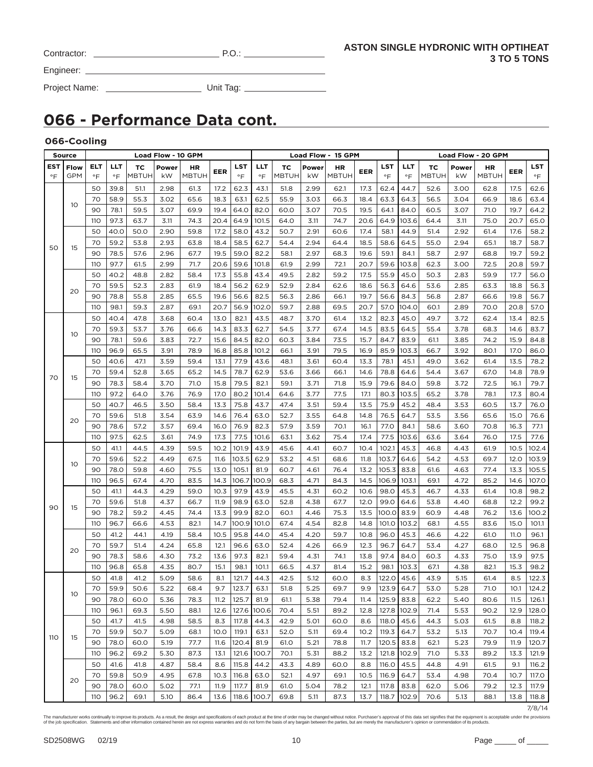| Contractor: | . |
|-------------|---|
|             |   |

Engineer:

Project Name: Unit Tag:

# **066 - Performance Data cont.**

### **066-Cooling**

|                         | <b>Source</b>             |                  |              |                    | Load Flow - 10 GPM |                    |              |                  |               |              |              | Load Flow - 15 GPM |              |                  |                  |                    |              | Load Flow - 20 GPM        |              |                  |
|-------------------------|---------------------------|------------------|--------------|--------------------|--------------------|--------------------|--------------|------------------|---------------|--------------|--------------|--------------------|--------------|------------------|------------------|--------------------|--------------|---------------------------|--------------|------------------|
| <b>EST</b><br>$\circ$ F | <b>Flow</b><br><b>GPM</b> | ELT<br>$\circ$ F | LLT<br>°F    | тc<br><b>MBTUH</b> | Power<br>kW        | HR<br><b>MBTUH</b> | EER          | <b>LST</b><br>°F | LLT<br>°F     | ТC<br>MBTUH  | Power<br>kW  | ΗR<br><b>MBTUH</b> | EER          | LST<br>$\circ$ F | LLT<br>$\circ$ F | ТC<br><b>MBTUH</b> | Power<br>kW  | <b>HR</b><br><b>MBTUH</b> | EER          | LST<br>$\circ$ F |
|                         |                           | 50               | 39.8         | 51.1               | 2.98               | 61.3               | 17.2         | 62.3             | 43.1          | 51.8         | 2.99         | 62.1               | 17.3         | 62.4             | 44.7             | 52.6               | 3.00         | 62.8                      | 17.5         | 62.6             |
|                         | 10                        | 70               | 58.9         | 55.3               | 3.02               | 65.6               | 18.3         | 63.1             | 62.5          | 55.9         | 3.03         | 66.3               | 18.4         | 63.3             | 64.3             | 56.5               | 3.04         | 66.9                      | 18.6         | 63.4             |
|                         |                           | 90               | 78.1         | 59.5               | 3.07               | 69.9               | 19.4         | 64.0             | 82.0          | 60.0         | 3.07         | 70.5               | 19.5         | 64.1             | 84.0             | 60.5               | 3.07         | 71.0                      | 19.7         | 64.2             |
|                         |                           | 110              | 97.3         | 63.7               | 3.11               | 74.3               | 20.4         | 64.9             | 101.5         | 64.0         | 3.11         | 74.7               | 20.6         | 64.9             | 103.6            | 64.4               | 3.11         | 75.0                      | 20.7         | 65.0             |
|                         |                           | 50               | 40.0         | 50.0               | 2.90               | 59.8               | 17.2         | 58.0             | 43.2          | 50.7         | 2.91         | 60.6               | 17.4         | 58.1             | 44.9             | 51.4               | 2.92         | 61.4                      | 17.6         | 58.2             |
| 50                      | 15                        | 70               | 59.2         | 53.8               | 2.93               | 63.8               | 18.4         | 58.5             | 62.7          | 54.4         | 2.94         | 64.4               | 18.5         | 58.6             | 64.5             | 55.0               | 2.94         | 65.1                      | 18.7         | 58.7             |
|                         |                           | 90               | 78.5         | 57.6               | 2.96               | 67.7               | 19.5         | 59.0             | 82.2          | 58.1         | 2.97         | 68.3               | 19.6         | 59.1             | 84.1             | 58.7               | 2.97         | 68.8                      | 19.7         | 59.2             |
|                         |                           | 110              | 97.7         | 61.5               | 2.99               | 71.7               | 20.6         | 59.6             | 101.8         | 61.9         | 2.99         | 72.1               | 20.7         | 59.6             | 103.8            | 62.3               | 3.00         | 72.5                      | 20.8         | 59.7             |
|                         |                           | 50               | 40.2         | 48.8               | 2.82               | 58.4               | 17.3         | 55.8             | 43.4          | 49.5         | 2.82         | 59.2               | 17.5         | 55.9             | 45.0             | 50.3               | 2.83         | 59.9                      | 17.7         | 56.0             |
|                         | 20                        | 70               | 59.5         | 52.3               | 2.83               | 61.9               | 18.4         | 56.2             | 62.9          | 52.9         | 2.84         | 62.6               | 18.6         | 56.3             | 64.6             | 53.6               | 2.85         | 63.3                      | 18.8         | 56.3             |
|                         |                           | 90               | 78.8         | 55.8               | 2.85               | 65.5               | 19.6         | 56.6             | 82.5          | 56.3         | 2.86         | 66.1               | 19.7         | 56.6             | 84.3             | 56.8               | 2.87         | 66.6                      | 19.8         | 56.7             |
|                         |                           | 110              | 98.1         | 59.3               | 2.87               | 69.1               | 20.7         | 56.9             | 102.0         | 59.7         | 2.88         | 69.5               | 20.7         | 57.0             | 104.0            | 60.1               | 2.89         | 70.0                      | 20.8         | 57.0             |
|                         |                           | 50               | 40.4         | 47.8               | 3.68               | 60.4               | 13.0         | 82.1             | 43.5          | 48.7         | 3.70         | 61.4               | 13.2         | 82.3             | 45.0             | 49.7               | 3.72         | 62.4                      | 13.4         | 82.5             |
|                         | 10                        | 70               | 59.3         | 53.7               | 3.76               | 66.6               | 14.3         | 83.3             | 62.7          | 54.5         | 3.77         | 67.4               | 14.5         | 83.5             | 64.5             | 55.4               | 3.78         | 68.3                      | 14.6         | 83.7             |
|                         |                           | 90               | 78.1         | 59.6               | 3.83               | 72.7               | 15.6         | 84.5             | 82.0          | 60.3         | 3.84         | 73.5               | 15.7         | 84.7             | 83.9             | 61.1               | 3.85         | 74.2                      | 15.9         | 84.8             |
|                         |                           | 110              | 96.9         | 65.5               | 3.91               | 78.9               | 16.8         | 85.8             | 101.2         | 66.1         | 3.91         | 79.5               | 16.9         | 85.9             | 103.3            | 66.7               | 3.92         | 80.1                      | 17.O         | 86.0             |
|                         |                           | 50               | 40.6         | 47.1               | 3.59               | 59.4               | 13.1         | 77.9             | 43.6          | 48.1         | 3.61         | 60.4               | 13.3         | 78.1             | 45.1             | 49.0               | 3.62         | 61.4                      | 13.5         | 78.2             |
| 70                      | 15                        | 70               | 59.4         | 52.8               | 3.65               | 65.2               | 14.5         | 78.7             | 62.9          | 53.6         | 3.66         | 66.1               | 14.6         | 78.8             | 64.6             | 54.4               | 3.67         | 67.0                      | 14.8         | 78.9             |
|                         |                           | 90               | 78.3         | 58.4               | 3.70               | 71.0               | 15.8         | 79.5             | 82.1          | 59.1         | 3.71         | 71.8               | 15.9         | 79.6             | 84.0             | 59.8               | 3.72         | 72.5                      | 16.1         | 79.7             |
|                         |                           | 110              | 97.2         | 64.0               | 3.76               | 76.9               | 17.0         | 80.2             | 101.4         | 64.6         | 3.77         | 77.5               | 17.1         | 80.3             | 103.5            | 65.2               | 3.78         | 78.1                      | 17.3         | 80.4             |
|                         |                           | 50               | 40.7         | 46.5               | 3.50               | 58.4               | 13.3         | 75.8             | 43.7          | 47.4         | 3.51         | 59.4               | 13.5         | 75.9             | 45.2             | 48.4               | 3.53         | 60.5                      | 13.7         | 76.0             |
|                         | 20                        | 70               | 59.6         | 51.8               | 3.54               | 63.9               | 14.6         | 76.4             | 63.0          | 52.7         | 3.55         | 64.8               | 14.8         | 76.5             | 64.7             | 53.5               | 3.56         | 65.6                      | 15.0         | 76.6             |
|                         |                           | 90               | 78.6         | 57.2               | 3.57               | 69.4               | 16.0         | 76.9             | 82.3          | 57.9         | 3.59         | 70.1               | 16.1         | 77.0             | 84.1             | 58.6               | 3.60         | 70.8                      | 16.3         | 77.1             |
|                         |                           | 110              | 97.5         | 62.5               | 3.61               | 74.9               | 17.3         | 77.5             | 101.6         | 63.1         | 3.62         | 75.4               | 17.4         | 77.5             | 103.6            | 63.6               | 3.64         | 76.0                      | 17.5         | 77.6             |
|                         |                           | 50               | 41.1         | 44.5               | 4.39               | 59.5               | 10.2         | 101.9            | 43.9          | 45.6         | 4.41         | 60.7               | 10.4         | 102.1            | 45.3             | 46.8               | 4.43         | 61.9                      | 10.5         | 102.4            |
|                         | 10                        | 70               | 59.6         | 52.2               | 4.49               | 67.5               | 11.6         | 103.5            | 62.9          | 53.2         | 4.51         | 68.6               | 11.8         | 103.7            | 64.6             | 54.2               | 4.53         | 69.7                      | 12.0         | 103.9            |
|                         |                           | 90               | 78.0         | 59.8               | 4.60               | 75.5               | 13.0         | 105.1            | 81.9<br>100.9 | 60.7         | 4.61         | 76.4               | 13.2         | 105.3            | 83.8             | 61.6               | 4.63         | 77.4                      | 13.3         | 105.5            |
|                         |                           | 110<br>50        | 96.5<br>41.1 | 67.4<br>44.3       | 4.70<br>4.29       | 83.5<br>59.0       | 14.3<br>10.3 | 106.7<br>97.9    | 43.9          | 68.3<br>45.5 | 4.71<br>4.31 | 84.3               | 14.5         | 106.9<br>98.0    | 103.1            | 69.1<br>46.7       | 4.72<br>4.33 | 85.2                      | 14.6<br>10.8 | 107.0<br>98.2    |
|                         |                           | 70               | 59.6         | 51.8               | 4.37               | 66.7               | 11.9         | 98.9             | 63.0          | 52.8         | 4.38         | 60.2<br>67.7       | 10.6<br>12.0 | 99.0             | 45.3<br>64.6     | 53.8               | 4.40         | 61.4<br>68.8              | 12.2         | 99.2             |
| 90                      | 15                        | 90               | 78.2         | 59.2               | 4.45               | 74.4               | 13.3         | 99.9             | 82.0          | 60.1         | 4.46         | 75.3               | 13.5         | 100.0            | 83.9             | 60.9               | 4.48         | 76.2                      | 13.6         | 100.2            |
|                         |                           | 110              | 96.7         | 66.6               | 4.53               | 82.1               | 14.7         | 100.9            | 101.0         | 67.4         | 4.54         | 82.8               | 14.8         | 101.0            | 103.2            | 68.1               | 4.55         | 83.6                      | 15.0         | 101.1            |
|                         |                           | 50               | 41.2         | 44.1               | 4.19               | 58.4               | 10.5         | 95.8             | 44.0          | 45.4         | 4.20         | 59.7               | 10.8         | 96.0             | 45.3             | 46.6               | 4.22         | 61.0                      | 11.O         | 96.1             |
|                         |                           | 70               | 59.7         | 51.4               | 4.24               | 65.8               | 12.1         | 96.6             | 63.0          | 52.4         | 4.26         | 66.9               | 12.3         | 96.7             | 64.7             | 53.4               | 4.27         | 68.0                      | 12.5         | 96.8             |
|                         | 20                        | 90               | 78.3         | 58.6               | 4.30               | 73.2               | 13.6         | 97.3             | 82.1          | 59.4         | 4.31         | 74.1               | 13.8         | 97.4             | 84.0             | 60.3               | 4.33         | 75.0                      | 13.9         | 97.5             |
|                         |                           | 110              | 96.8         | 65.8               | 4.35               | 80.7               | 15.1         | 98.1             | 101.1         | 66.5         | 4.37         | 81.4               | 15.2         | 98.1             | 103.3            | 67.1               | 4.38         | 82.1                      | 15.3         | 98.2             |
|                         |                           | 50               | 41.8         | 41.2               | 5.09               | 58.6               | 8.1          | 121.7            | 44.3          | 42.5         | 5.12         | 60.0               | 8.3          | 122.0            | 45.6             | 43.9               | 5.15         | 61.4                      | 8.5          | 122.3            |
|                         |                           | 70               | 59.9         | 50.6               | 5.22               | 68.4               | 9.7          | 123.7            | 63.1          | 51.8         | 5.25         | 69.7               | 9.9          | 123.9 64.7       |                  | 53.0               | 5.28         | 71.0                      |              | $10.1$   124.2   |
|                         | 10                        | 90               | 78.0         | 60.0               | 5.36               | 78.3               | 11.2         | 125.7            | 81.9          | 61.1         | 5.38         | 79.4               | 11.4         |                  | 125.9 83.8       | 62.2               | 5.40         | 80.6                      | 11.5         | 126.1            |
|                         |                           | 110              | 96.1         | 69.3               | 5.50               | 88.1               | 12.6         | 127.6            | 100.6         | 70.4         | 5.51         | 89.2               | 12.8         |                  | 127.8 102.9      | 71.4               | 5.53         | 90.2                      | 12.9         | 128.0            |
|                         |                           | 50               | 41.7         | 41.5               | 4.98               | 58.5               | 8.3          | 117.8            | 44.3          | 42.9         | 5.01         | 60.0               | 8.6          | 118.0            | 45.6             | 44.3               | 5.03         | 61.5                      | 8.8          | 118.2            |
|                         |                           | 70               | 59.9         | 50.7               | 5.09               | 68.1               | 10.0         | 119.1            | 63.1          | 52.0         | 5.11         | 69.4               | 10.2         | 119.3            | 64.7             | 53.2               | 5.13         | 70.7                      | 10.4         | 119.4            |
| 110                     | 15                        | 90               | 78.0         | 60.0               | 5.19               | 77.7               | 11.6         | 120.4            | 81.9          | 61.0         | 5.21         | 78.8               | 11.7         | 120.5            | 83.8             | 62.1               | 5.23         | 79.9                      | 11.9         | 120.7            |
|                         |                           | 110              | 96.2         | 69.2               | 5.30               | 87.3               | 13.1         | 121.6            | 100.7         | 70.1         | 5.31         | 88.2               | 13.2         | 121.8            | 102.9            | 71.0               | 5.33         | 89.2                      | 13.3         | 121.9            |
|                         |                           | 50               | 41.6         | 41.8               | 4.87               | 58.4               | 8.6          | 115.8            | 44.2          | 43.3         | 4.89         | 60.0               | 8.8          | 116.0            | 45.5             | 44.8               | 4.91         | 61.5                      | 9.1          | 116.2            |
|                         |                           | 70               | 59.8         | 50.9               | 4.95               | 67.8               | 10.3         | 116.8            | 63.0          | 52.1         | 4.97         | 69.1               | 10.5         | 116.9            | 64.7             | 53.4               | 4.98         | 70.4                      | 10.7         | 117.O            |
|                         | 20                        | 90               | 78.0         | 60.0               | 5.02               | 77.1               | 11.9         | 117.7            | 81.9          | 61.0         | 5.04         | 78.2               | 12.1         | 117.8            | 83.8             | 62.0               | 5.06         | 79.2                      | 12.3         | 117.9            |
|                         |                           | <b>110</b>       | 96.2         | 69.1               | 5.10               | 86.4               | 13.6         | 118.6            | 100.7         | 69.8         | 5.11         | 87.3               | 13.7         |                  | 118.7 102.9      | 70.6               | 5.13         | 88.1                      |              | $13.8$   118.8   |

7/8/14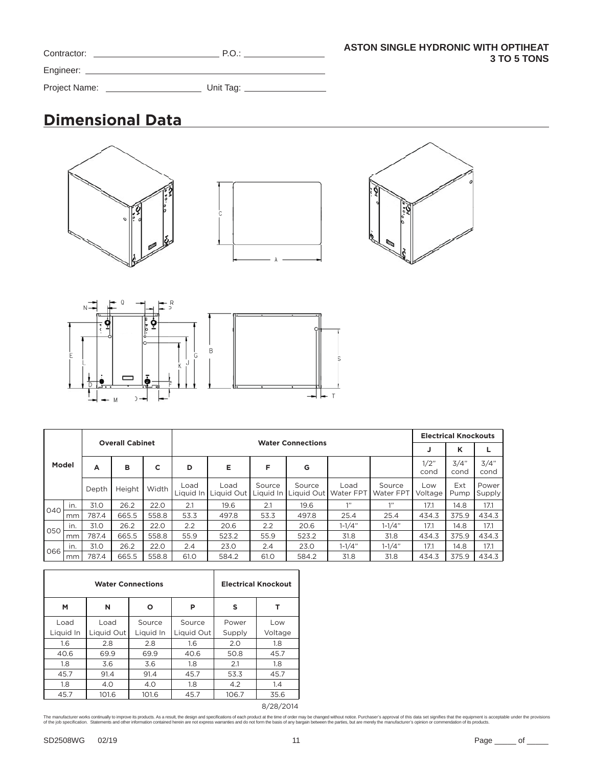| Contractor:   | P.O.      |
|---------------|-----------|
| Engineer:     |           |
| Project Name: | Unit Tag: |

# **Dimensional Data**









| 040<br>050 |      |             |                        |       |                   |                    |        |                                |                   |                            |                | <b>Electrical Knockouts</b> |                 |
|------------|------|-------------|------------------------|-------|-------------------|--------------------|--------|--------------------------------|-------------------|----------------------------|----------------|-----------------------------|-----------------|
|            |      |             | <b>Overall Cabinet</b> |       |                   |                    |        | <b>Water Connections</b>       |                   |                            | J              | κ                           |                 |
| Model      |      | в<br>с<br>А |                        | D     | Е                 | F                  |        |                                |                   | 1/2"<br>cond               | 3/4"<br>cond   | 3/4"<br>cond                |                 |
|            |      | Depth       | Height                 | Width | Load<br>Liquid In | Load<br>Liquid Out | Source | Source<br>Liquid In Liquid Out | Load<br>Water FPT | Source<br><b>Water FPT</b> | Low<br>Voltage | Ext<br>Pump                 | Power<br>Supply |
|            | in.  | 31.0        | 26.2                   | 22.0  | 2.1               | 19.6               | 2.1    | 19.6                           | 111               | 1"                         | 17.1           | 14.8                        | 17.1            |
|            | mm   | 787.4       | 665.5                  | 558.8 | 53.3              | 497.8              | 53.3   | 497.8                          | 25.4              | 25.4                       | 434.3          | 375.9                       | 434.3           |
|            | in.  | 31.0        | 26.2                   | 22.0  | 2.2               | 20.6               | 2.2    | 20.6                           | $1 - 1/4"$        | $1 - 1/4"$                 | 17.1           | 14.8                        | 17.1            |
|            | mm   | 787.4       | 665.5                  | 558.8 | 55.9              | 523.2              | 55.9   | 523.2                          | 31.8              | 31.8                       | 434.3          | 375.9                       | 434.3           |
| 066        | in.  | 31.0        | 26.2                   | 22.0  | 2.4               | 23.0               | 2.4    | 23.0                           | $1 - 1/4"$        | $1 - 1/4"$                 | 17.1           | 14.8                        | 17.1            |
|            | l mm | 787.4       | 665.5                  | 558.8 | 61.0              | 584.2              | 61.0   | 584.2                          | 31.8              | 31.8                       | 434.3          | 375.9                       | 434.3           |

|           |            | <b>Water Connections</b> |            |        | <b>Electrical Knockout</b> |  |  |
|-----------|------------|--------------------------|------------|--------|----------------------------|--|--|
| М         | N          | Ο                        | P          | s      | т                          |  |  |
| Load      | Load       | Source                   | Source     | Power  | Low                        |  |  |
| Liquid In | Liquid Out | Liquid In                | Liquid Out | Supply | Voltage                    |  |  |
| 1.6       | 2.8        | 2.8                      | 1.6        | 2.0    | 1.8                        |  |  |
| 40.6      | 69.9       | 69.9                     | 40.6       | 50.8   | 45.7                       |  |  |
| 1.8       | 3.6        | 3.6                      | 1.8        | 2.1    | 1.8                        |  |  |
| 45.7      | 91.4       | 91.4                     | 45.7       | 53.3   | 45.7                       |  |  |
| 1.8       | 4.0        | 4.0                      | 1.8        | 4.2    | 1.4                        |  |  |
| 45.7      | 101.6      | 101.6                    | 45.7       | 106.7  | 35.6                       |  |  |

8/28/2014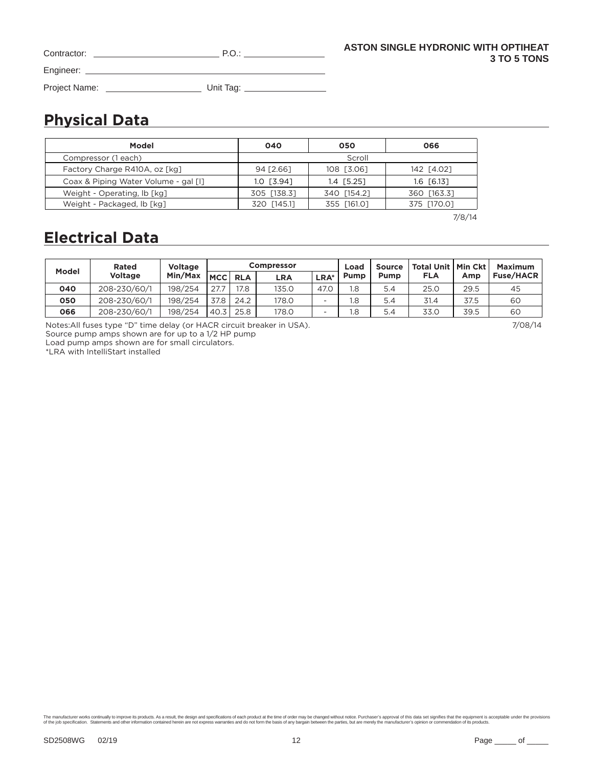| Contractor:   | P.O.      |
|---------------|-----------|
| Engineer:     |           |
| Project Name: | Unit Tag: |

# **Physical Data**

| Model                                | 040          | 050          | 066          |
|--------------------------------------|--------------|--------------|--------------|
| Compressor (1 each)                  |              | Scroll       |              |
| Factory Charge R410A, oz [kg]        | 94 [2.66]    | 108 [3.06]   | 142 [4.02]   |
| Coax & Piping Water Volume - gal [1] | $1.0$ [3.94] | $1.4$ [5.25] | $1.6$ [6.13] |
| Weight - Operating, lb [kg]          | 305 [138.3]  | 340 [154.2]  | 360 [163.3]  |
| Weight - Packaged, lb [kg]           | 320 [145.1]  | 355 [161.0]  | 375 [170.0]  |

7/8/14

# **Electrical Data**

| Model | Rated          | <b>Voltage</b> |                |      | <b>Compressor</b> |                          | Load | <b>Source</b> | Total Unit   Min Ckt |      | <b>Maximum</b>   |
|-------|----------------|----------------|----------------|------|-------------------|--------------------------|------|---------------|----------------------|------|------------------|
|       | <b>Voltage</b> | Min/Max        | <b>MCC RLA</b> |      | LRA               | LRA*                     | Pump | Pump          | <b>FLA</b>           | Amp  | <b>Fuse/HACR</b> |
| 040   | 208-230/60/1   | 198/254        | 27.7           | 17.8 | 135.0             | 47.0                     | 1.8  | 5.4           | 25.0                 | 29.5 | 45               |
| 050   | 208-230/60/1   | 198/254        | 37.8           | 24.2 | 178.0             | $\overline{\phantom{a}}$ | 1.8  | 5.4           | 31.4                 | 37.5 | 6C               |
| 066   | 208-230/60/1   | 198/254        | 40.3           | 25.8 | 178.0             |                          | 1.8  | 5.4           | 33.0                 | 39.5 | 60               |

 $\overline{\phantom{a}}$ 

Notes:All fuses type "D" time delay (or HACR circuit breaker in USA). 7/08/14

Source pump amps shown are for up to a 1/2 HP pump

Load pump amps shown are for small circulators.

\*LRA with IntelliStart installed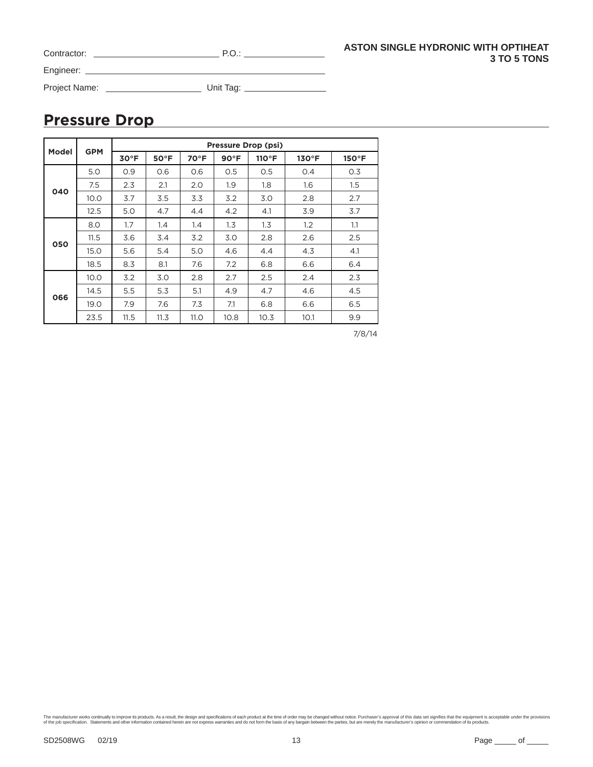| Contractor:   | P.O.      |
|---------------|-----------|
| Engineer:     |           |
| Project Name: | Unit Tag: |

## **Pressure Drop**

|              | <b>GPM</b> | <b>Pressure Drop (psi)</b> |                |      |               |       |               |                 |
|--------------|------------|----------------------------|----------------|------|---------------|-------|---------------|-----------------|
| <b>Model</b> |            | $30^{\circ}$ F             | $50^{\circ}$ F | 70°F | $90^{\circ}F$ | 110°F | $130^\circ F$ | $150^{\circ}$ F |
|              | 5.0        | O.9                        | O.6            | O.6  | O.5           | 0.5   | O.4           | 0.3             |
|              | 7.5        | 2.3                        | 2.1            | 2.0  | 1.9           | 1.8   | 1.6           | $1.5\,$         |
| 040          | 10.0       | 3.7                        | 3.5            | 3.3  | 3.2           | 3.0   | 2.8           | 2.7             |
|              | 12.5       | 5.0                        | 4.7            | 4.4  | 4.2           | 4.1   | 3.9           | 3.7             |
|              | 8.0        | 1.7                        | 1.4            | 1.4  | 1.3           | 1.3   | 1.2           | 1.1             |
| 050          | 11.5       | 3.6                        | 3.4            | 3.2  | 3.0           | 2.8   | 2.6           | 2.5             |
|              | 15.0       | 5.6                        | 5.4            | 5.0  | 4.6           | 4.4   | 4.3           | 4.1             |
|              | 18.5       | 8.3                        | 8.1            | 7.6  | 7.2           | 6.8   | 6.6           | 6.4             |
|              | 10.0       | 3.2                        | 3.0            | 2.8  | 2.7           | 2.5   | 2.4           | 2.3             |
|              | 14.5       | 5.5                        | 5.3            | 5.1  | 4.9           | 4.7   | 4.6           | 4.5             |
| 066          | 19.0       | 7.9                        | 7.6            | 7.3  | 7.1           | 6.8   | 6.6           | 6.5             |
|              | 23.5       | 11.5                       | 11.3           | 11.0 | 10.8          | 10.3  | 10.1          | 9.9             |

7/8/14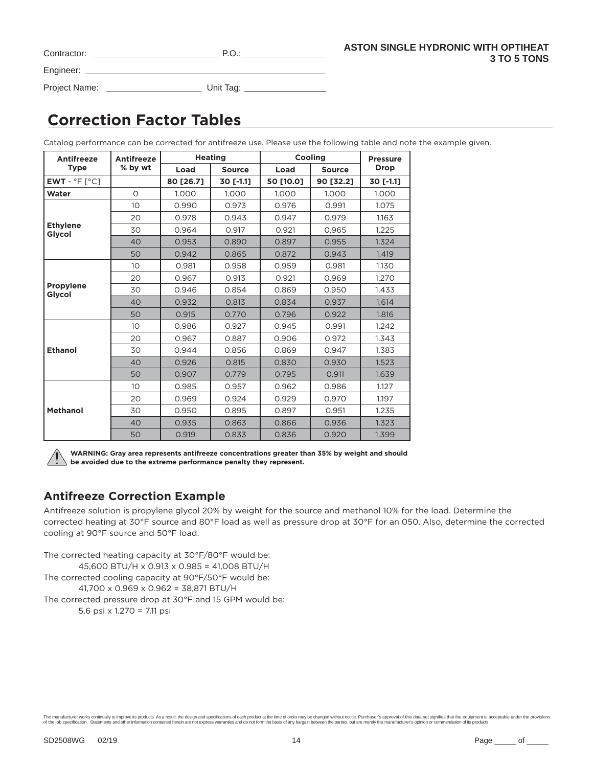| Contractor: | P.O |
|-------------|-----|
| Engineer:   |     |

Project Name: Unit Tag:

# **Correction Factor Tables**

Catalog performance can be corrected for antifreeze use. Please use the following table and note the example given.

| <b>Antifreeze</b>          | <b>Antifreeze</b> | <b>Heating</b> |               | Cooling   | <b>Pressure</b> |             |
|----------------------------|-------------------|----------------|---------------|-----------|-----------------|-------------|
| <b>Type</b>                | % by wt           | Load           | <b>Source</b> | Load      | <b>Source</b>   | <b>Drop</b> |
| $EWT - P F C$              |                   | 80 [26.7]      | 30 [-1.1]     | 50 [10.0] | 90 [32.2]       | 30 [-1.1]   |
| Water                      | $\circ$           | 1.000          | 1.000         | 1.000     | 1.000           | 1.000       |
|                            | 10 <sup>°</sup>   | 0.990          | 0.973         | 0.976     | 0.991           | 1.075       |
|                            | 20                | 0.978          | 0.943         | 0.947     | 0.979           | 1.163       |
| <b>Ethylene</b><br>Glycol  | 30                | 0.964          | 0.917         | 0.921     | 0.965           | 1.225       |
|                            | 40                | 0.953          | 0.890         | 0.897     | 0.955           | 1.324       |
|                            | 50                | 0.942          | 0.865         | 0.872     | 0.943           | 1.419       |
|                            | 10                | 0.981          | 0.958         | 0.959     | 0.981           | 1.130       |
|                            | 20                | 0.967          | 0.913         | 0.921     | 0.969           | 1.270       |
| <b>Propylene</b><br>Glycol | 30                | 0.946          | 0.854         | 0.869     | 0.950           | 1.433       |
|                            | 40                | 0.932          | 0.813         | 0.834     | 0.937           | 1.614       |
|                            | 50                | 0.915          | 0.770         | 0.796     | 0.922           | 1.816       |
|                            | 10 <sup>°</sup>   | 0.986          | 0.927         | 0.945     | 0.991           | 1.242       |
|                            | 20                | 0.967          | 0.887         | 0.906     | 0.972           | 1.343       |
| <b>Ethanol</b>             | 30                | 0.944          | 0.856         | 0.869     | 0.947           | 1.383       |
|                            | 40                | 0.926          | 0.815         | 0.830     | 0.930           | 1.523       |
|                            | 50                | 0.907          | 0.779         | 0.795     | 0.911           | 1.639       |
|                            | 10                | 0.985          | 0.957         | 0.962     | 0.986           | 1.127       |
|                            | 20                | 0.969          | 0.924         | 0.929     | 0.970           | 1.197       |
| <b>Methanol</b>            | 30                | 0.950          | 0.895         | 0.897     | 0.951           | 1.235       |
|                            | 40                | 0.935          | 0.863         | 0.866     | 0.936           | 1.323       |
|                            | 50                | 0.919          | 0.833         | 0.836     | 0.920           | 1.399       |

**WARNING: Gray area represents antifreeze concentrations greater than 35% by weight and should be avoided due to the extreme performance penalty they represent.**

### **Antifreeze Correction Example**

Antifreeze solution is propylene glycol 20% by weight for the source and methanol 10% for the load. Determine the corrected heating at 30°F source and 80°F load as well as pressure drop at 30°F for an 050. Also, determine the corrected cooling at 90°F source and 50°F load.

The corrected heating capacity at 30°F/80°F would be: 45,600 BTU/H x 0.913 x 0.985 = 41,008 BTU/H The corrected cooling capacity at 90°F/50°F would be: 41,700 x 0.969 x 0.962 = 38,871 BTU/H The corrected pressure drop at 30°F and 15 GPM would be: 5.6 psi x 1.270 = 7.11 psi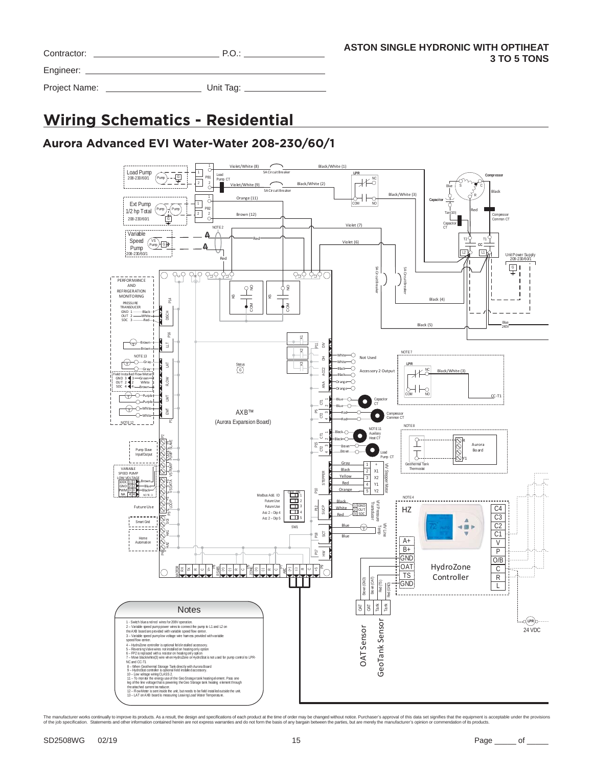| Contractor:   | P.O.      |  |
|---------------|-----------|--|
| Engineer:     |           |  |
| Project Name: | Unit Tag: |  |

# **Wiring Schematics - Residential**

### **Aurora Advanced EVI Water-Water 208-230/60/1**

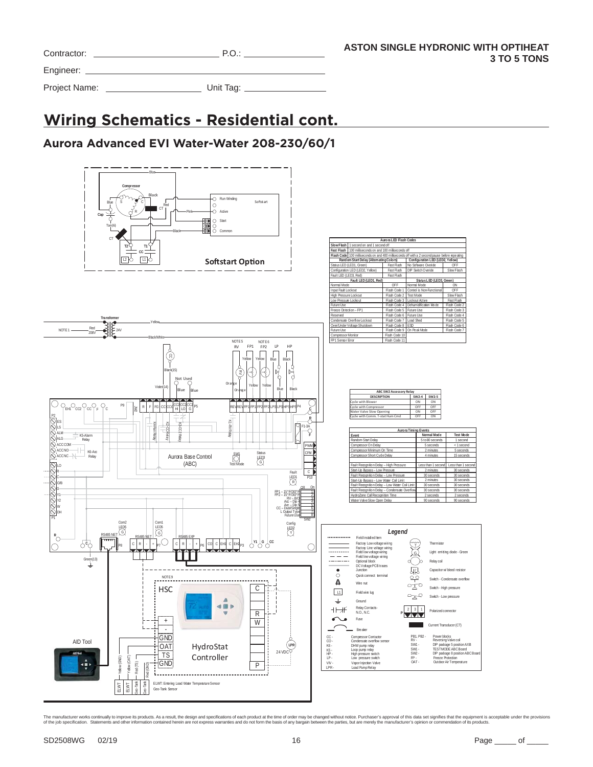| Contractor:   | P.O.      |  |
|---------------|-----------|--|
| Engineer:     |           |  |
| Project Name: | Unit Tag: |  |

# **Wiring Schematics - Residential cont.**

### **Aurora Advanced EVI Water-Water 208-230/60/1**

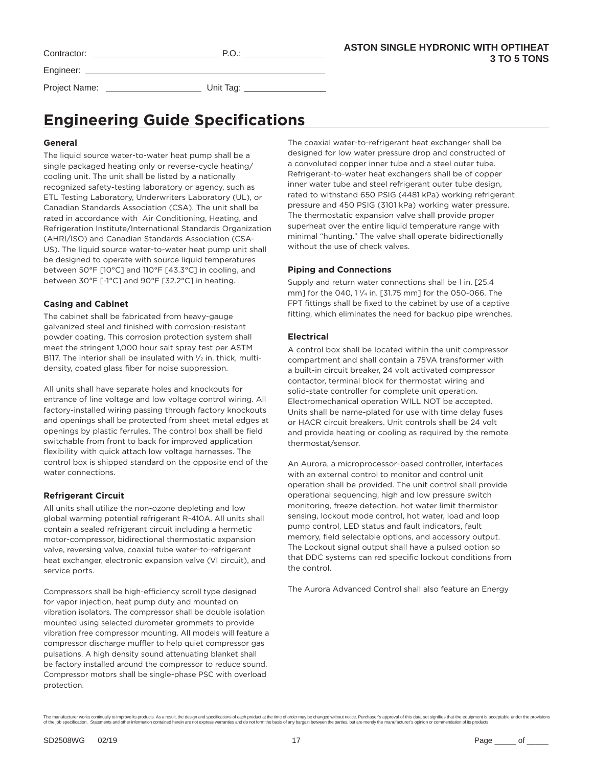| Contractor:   | P.O.            |  |
|---------------|-----------------|--|
|               |                 |  |
| Project Name: | Unit Tag: $\_\$ |  |

# **Engineering Guide Specifications**

#### **General**

The liquid source water-to-water heat pump shall be a single packaged heating only or reverse-cycle heating/ cooling unit. The unit shall be listed by a nationally recognized safety-testing laboratory or agency, such as ETL Testing Laboratory, Underwriters Laboratory (UL), or Canadian Standards Association (CSA). The unit shall be rated in accordance with Air Conditioning, Heating, and Refrigeration Institute/International Standards Organization (AHRI/ISO) and Canadian Standards Association (CSA-US). The liquid source water-to-water heat pump unit shall be designed to operate with source liquid temperatures between 50°F [10°C] and 110°F [43.3°C] in cooling, and between 30°F [-1°C] and 90°F [32.2°C] in heating.

#### **Casing and Cabinet**

The cabinet shall be fabricated from heavy-gauge galvanized steel and finished with corrosion-resistant powder coating. This corrosion protection system shall meet the stringent 1,000 hour salt spray test per ASTM B117. The interior shall be insulated with  $\frac{1}{2}$  in. thick, multidensity, coated glass fiber for noise suppression.

All units shall have separate holes and knockouts for entrance of line voltage and low voltage control wiring. All factory-installed wiring passing through factory knockouts and openings shall be protected from sheet metal edges at openings by plastic ferrules. The control box shall be field switchable from front to back for improved application flexibility with quick attach low voltage harnesses. The control box is shipped standard on the opposite end of the water connections.

### **Refrigerant Circuit**

All units shall utilize the non-ozone depleting and low global warming potential refrigerant R-410A. All units shall contain a sealed refrigerant circuit including a hermetic motor-compressor, bidirectional thermostatic expansion valve, reversing valve, coaxial tube water-to-refrigerant heat exchanger, electronic expansion valve (VI circuit), and service ports.

Compressors shall be high-efficiency scroll type designed for vapor injection, heat pump duty and mounted on vibration isolators. The compressor shall be double isolation mounted using selected durometer grommets to provide vibration free compressor mounting. All models will feature a compressor discharge muffler to help quiet compressor gas pulsations. A high density sound attenuating blanket shall be factory installed around the compressor to reduce sound. Compressor motors shall be single-phase PSC with overload protection.

The coaxial water-to-refrigerant heat exchanger shall be designed for low water pressure drop and constructed of a convoluted copper inner tube and a steel outer tube. Refrigerant-to-water heat exchangers shall be of copper inner water tube and steel refrigerant outer tube design, rated to withstand 650 PSIG (4481 kPa) working refrigerant pressure and 450 PSIG (3101 kPa) working water pressure. The thermostatic expansion valve shall provide proper superheat over the entire liquid temperature range with minimal "hunting." The valve shall operate bidirectionally without the use of check valves.

### **Piping and Connections**

Supply and return water connections shall be 1 in. [25.4 mm] for the 040, 1 1/4 in. [31.75 mm] for the 050-066. The FPT fittings shall be fixed to the cabinet by use of a captive fitting, which eliminates the need for backup pipe wrenches.

#### **Electrical**

A control box shall be located within the unit compressor compartment and shall contain a 75VA transformer with a built-in circuit breaker, 24 volt activated compressor contactor, terminal block for thermostat wiring and solid-state controller for complete unit operation. Electromechanical operation WILL NOT be accepted. Units shall be name-plated for use with time delay fuses or HACR circuit breakers. Unit controls shall be 24 volt and provide heating or cooling as required by the remote thermostat/sensor.

An Aurora, a microprocessor-based controller, interfaces with an external control to monitor and control unit operation shall be provided. The unit control shall provide operational sequencing, high and low pressure switch monitoring, freeze detection, hot water limit thermistor sensing, lockout mode control, hot water, load and loop pump control, LED status and fault indicators, fault memory, field selectable options, and accessory output. The Lockout signal output shall have a pulsed option so that DDC systems can red specific lockout conditions from the control.

The Aurora Advanced Control shall also feature an Energy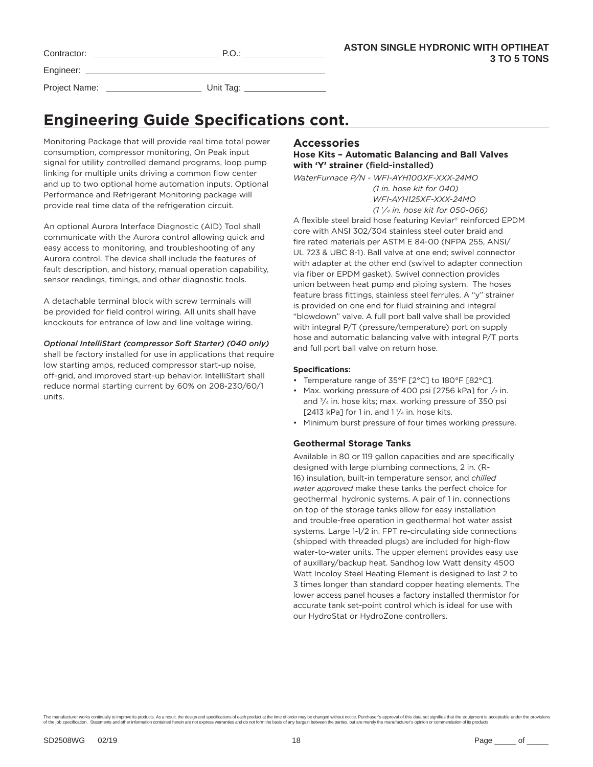| Contractor:   | P.O.      | <b>AST</b> |
|---------------|-----------|------------|
|               |           |            |
| Project Name: | Unit Tag: |            |

# **Engineering Guide Specifications cont.**

Monitoring Package that will provide real time total power consumption, compressor monitoring, On Peak input signal for utility controlled demand programs, loop pump linking for multiple units driving a common flow center and up to two optional home automation inputs. Optional Performance and Refrigerant Monitoring package will provide real time data of the refrigeration circuit.

An optional Aurora Interface Diagnostic (AID) Tool shall communicate with the Aurora control allowing quick and easy access to monitoring, and troubleshooting of any Aurora control. The device shall include the features of fault description, and history, manual operation capability, sensor readings, timings, and other diagnostic tools.

A detachable terminal block with screw terminals will be provided for field control wiring. All units shall have knockouts for entrance of low and line voltage wiring.

#### *Optional IntelliStart (compressor Soft Starter) (040 only)*

shall be factory installed for use in applications that require low starting amps, reduced compressor start-up noise, off-grid, and improved start-up behavior. IntelliStart shall reduce normal starting current by 60% on 208-230/60/1 units.

### **Accessories**

### **Hose Kits – Automatic Balancing and Ball Valves with 'Y' strainer** (field-installed)

*WaterFurnace P/N - WFI-AYH100XF-XXX-24MO (1 in. hose kit for 040) WFI-AYH125XF-XXX-24MO* 

 *(1 1 ⁄4 in. hose kit for 050-066)* A flexible steel braid hose featuring Kevlar® reinforced EPDM core with ANSI 302/304 stainless steel outer braid and fire rated materials per ASTM E 84-00 (NFPA 255, ANSI/ UL 723 & UBC 8-1). Ball valve at one end; swivel connector with adapter at the other end (swivel to adapter connection via fiber or EPDM gasket). Swivel connection provides union between heat pump and piping system. The hoses feature brass fittings, stainless steel ferrules. A "y" strainer is provided on one end for fluid straining and integral "blowdown" valve. A full port ball valve shall be provided with integral P/T (pressure/temperature) port on supply hose and automatic balancing valve with integral P/T ports and full port ball valve on return hose.

#### **Specifications:**

- Temperature range of 35°F [2°C] to 180°F [82°C].
- Max. working pressure of 400 psi [2756 kPa] for  $\frac{1}{2}$  in. and 3⁄4 in. hose kits; max. working pressure of 350 psi [2413 kPa] for 1 in. and  $1\frac{1}{4}$  in. hose kits.
- Minimum burst pressure of four times working pressure.

### **Geothermal Storage Tanks**

Available in 80 or 119 gallon capacities and are specifically designed with large plumbing connections, 2 in. (R-16) insulation, built-in temperature sensor, and *chilled water approved* make these tanks the perfect choice for geothermal hydronic systems. A pair of 1 in. connections on top of the storage tanks allow for easy installation and trouble-free operation in geothermal hot water assist systems. Large 1-1/2 in. FPT re-circulating side connections (shipped with threaded plugs) are included for high-flow water-to-water units. The upper element provides easy use of auxillary/backup heat. Sandhog low Watt density 4500 Watt Incoloy Steel Heating Element is designed to last 2 to 3 times longer than standard copper heating elements. The lower access panel houses a factory installed thermistor for accurate tank set-point control which is ideal for use with our HydroStat or HydroZone controllers.